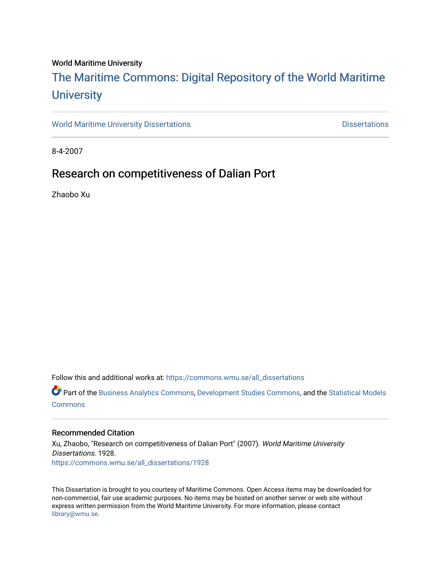### World Maritime University

# [The Maritime Commons: Digital Repository of the World Maritime](https://commons.wmu.se/)  **University**

[World Maritime University Dissertations](https://commons.wmu.se/all_dissertations) **Contact Contact Contact Contact Contact Contact Contact Contact Contact Contact Contact Contact Contact Contact Contact Contact Contact Contact Contact Contact Contact Contact Conta** 

8-4-2007

# Research on competitiveness of Dalian Port

Zhaobo Xu

Follow this and additional works at: [https://commons.wmu.se/all\\_dissertations](https://commons.wmu.se/all_dissertations?utm_source=commons.wmu.se%2Fall_dissertations%2F1928&utm_medium=PDF&utm_campaign=PDFCoverPages) 

Part of the [Business Analytics Commons](http://network.bepress.com/hgg/discipline/1398?utm_source=commons.wmu.se%2Fall_dissertations%2F1928&utm_medium=PDF&utm_campaign=PDFCoverPages), [Development Studies Commons,](http://network.bepress.com/hgg/discipline/1422?utm_source=commons.wmu.se%2Fall_dissertations%2F1928&utm_medium=PDF&utm_campaign=PDFCoverPages) and the [Statistical Models](http://network.bepress.com/hgg/discipline/827?utm_source=commons.wmu.se%2Fall_dissertations%2F1928&utm_medium=PDF&utm_campaign=PDFCoverPages) **[Commons](http://network.bepress.com/hgg/discipline/827?utm_source=commons.wmu.se%2Fall_dissertations%2F1928&utm_medium=PDF&utm_campaign=PDFCoverPages)** 

### Recommended Citation

Xu, Zhaobo, "Research on competitiveness of Dalian Port" (2007). World Maritime University Dissertations. 1928. [https://commons.wmu.se/all\\_dissertations/1928](https://commons.wmu.se/all_dissertations/1928?utm_source=commons.wmu.se%2Fall_dissertations%2F1928&utm_medium=PDF&utm_campaign=PDFCoverPages)

This Dissertation is brought to you courtesy of Maritime Commons. Open Access items may be downloaded for non-commercial, fair use academic purposes. No items may be hosted on another server or web site without express written permission from the World Maritime University. For more information, please contact [library@wmu.se](mailto:library@wmu.edu).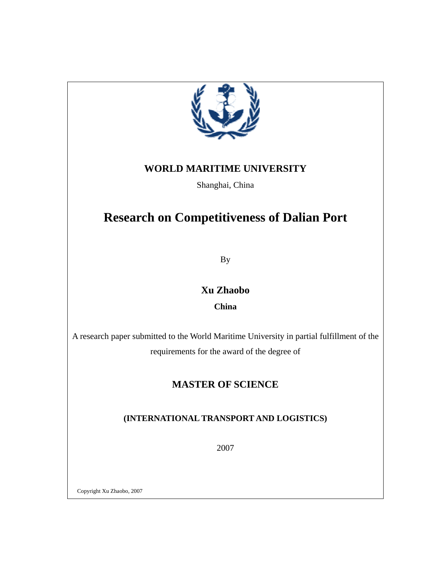

## **WORLD MARITIME UNIVERSITY**

Shanghai, China

# **Research on Competitiveness of Dalian Port**

By

**Xu Zhaobo** 

**China** 

A research paper submitted to the World Maritime University in partial fulfillment of the requirements for the award of the degree of

# **MASTER OF SCIENCE**

## **(INTERNATIONAL TRANSPORT AND LOGISTICS)**

2007

Copyright Xu Zhaobo, 2007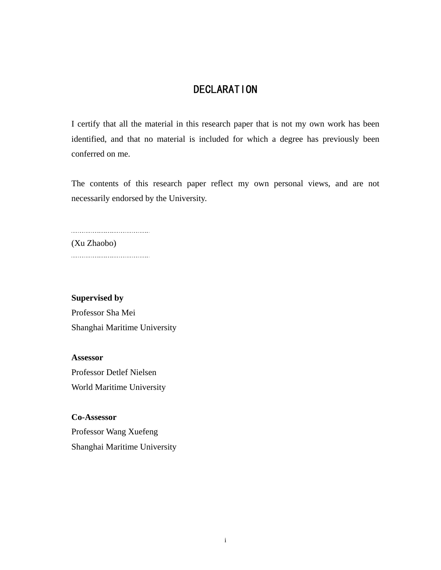# DECLARATION

I certify that all the material in this research paper that is not my own work has been identified, and that no material is included for which a degree has previously been conferred on me.

The contents of this research paper reflect my own personal views, and are not necessarily endorsed by the University.

-------------------------------------(Xu Zhaobo) ....................................

## **Supervised by**

Professor Sha Mei Shanghai Maritime University

**Assessor**  Professor Detlef Nielsen World Maritime University

**Co-Assessor**  Professor Wang Xuefeng Shanghai Maritime University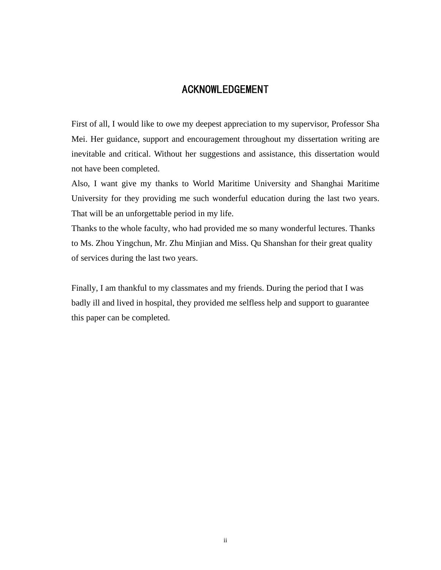## ACKNOWLEDGEMENT

First of all, I would like to owe my deepest appreciation to my supervisor, Professor Sha Mei. Her guidance, support and encouragement throughout my dissertation writing are inevitable and critical. Without her suggestions and assistance, this dissertation would not have been completed.

Also, I want give my thanks to World Maritime University and Shanghai Maritime University for they providing me such wonderful education during the last two years. That will be an unforgettable period in my life.

Thanks to the whole faculty, who had provided me so many wonderful lectures. Thanks to Ms. Zhou Yingchun, Mr. Zhu Minjian and Miss. Qu Shanshan for their great quality of services during the last two years.

Finally, I am thankful to my classmates and my friends. During the period that I was badly ill and lived in hospital, they provided me selfless help and support to guarantee this paper can be completed.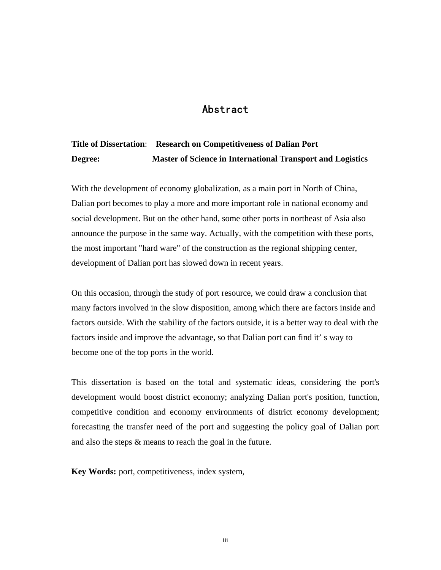## Abstract

# **Title of Dissertation**: **Research on Competitiveness of Dalian Port Degree: Master of Science in International Transport and Logistics**

With the development of economy globalization, as a main port in North of China, Dalian port becomes to play a more and more important role in national economy and social development. But on the other hand, some other ports in northeast of Asia also announce the purpose in the same way. Actually, with the competition with these ports, the most important "hard ware" of the construction as the regional shipping center, development of Dalian port has slowed down in recent years.

On this occasion, through the study of port resource, we could draw a conclusion that many factors involved in the slow disposition, among which there are factors inside and factors outside. With the stability of the factors outside, it is a better way to deal with the factors inside and improve the advantage, so that Dalian port can find it' s way to become one of the top ports in the world.

This dissertation is based on the total and systematic ideas, considering the port's development would boost district economy; analyzing Dalian port's position, function, competitive condition and economy environments of district economy development; forecasting the transfer need of the port and suggesting the policy goal of Dalian port and also the steps & means to reach the goal in the future.

**Key Words:** port, competitiveness, index system,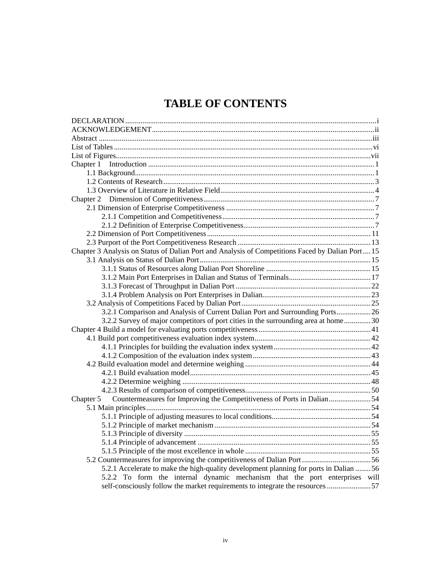# **TABLE OF CONTENTS**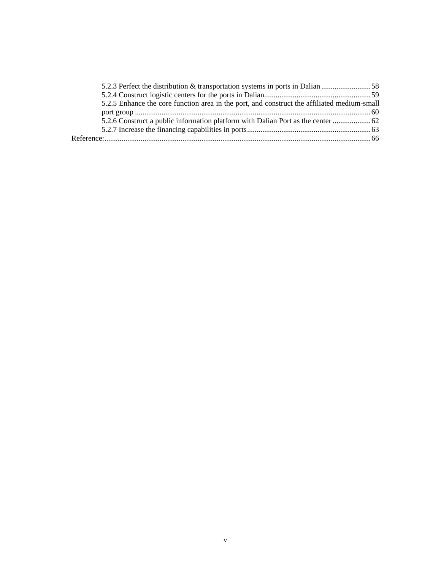| 5.2.5 Enhance the core function area in the port, and construct the affiliated medium-small |  |
|---------------------------------------------------------------------------------------------|--|
|                                                                                             |  |
|                                                                                             |  |
|                                                                                             |  |
|                                                                                             |  |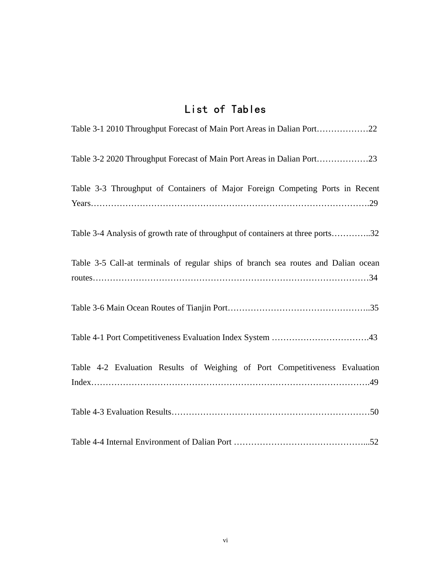# List of Tables

| Table 3-1 2010 Throughput Forecast of Main Port Areas in Dalian Port22             |
|------------------------------------------------------------------------------------|
|                                                                                    |
| Table 3-3 Throughput of Containers of Major Foreign Competing Ports in Recent      |
| Table 3-4 Analysis of growth rate of throughput of containers at three ports32     |
| Table 3-5 Call-at terminals of regular ships of branch sea routes and Dalian ocean |
|                                                                                    |
|                                                                                    |
| Table 4-2 Evaluation Results of Weighing of Port Competitiveness Evaluation        |
|                                                                                    |
|                                                                                    |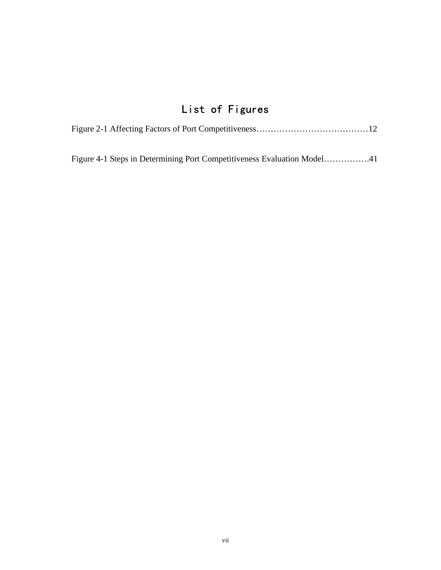# List of Figures

|  |  | Figure 4-1 Steps in Determining Port Competitiveness Evaluation Model41 |
|--|--|-------------------------------------------------------------------------|
|  |  |                                                                         |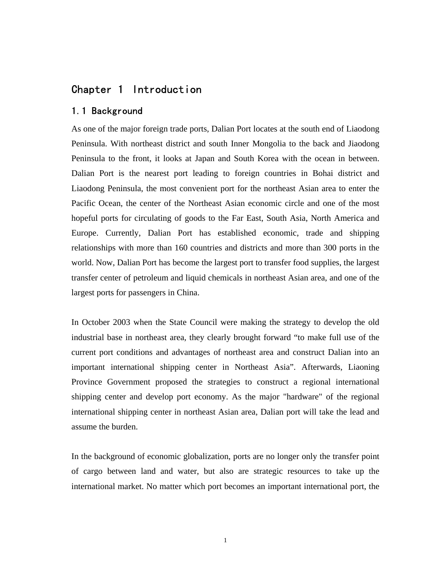## Chapter 1 Introduction

## 1.1 Background

As one of the major foreign trade ports, Dalian Port locates at the south end of Liaodong Peninsula. With northeast district and south Inner Mongolia to the back and Jiaodong Peninsula to the front, it looks at Japan and South Korea with the ocean in between. Dalian Port is the nearest port leading to foreign countries in Bohai district and Liaodong Peninsula, the most convenient port for the northeast Asian area to enter the Pacific Ocean, the center of the Northeast Asian economic circle and one of the most hopeful ports for circulating of goods to the Far East, South Asia, North America and Europe. Currently, Dalian Port has established economic, trade and shipping relationships with more than 160 countries and districts and more than 300 ports in the world. Now, Dalian Port has become the largest port to transfer food supplies, the largest transfer center of petroleum and liquid chemicals in northeast Asian area, and one of the largest ports for passengers in China.

In October 2003 when the State Council were making the strategy to develop the old industrial base in northeast area, they clearly brought forward "to make full use of the current port conditions and advantages of northeast area and construct Dalian into an important international shipping center in Northeast Asia". Afterwards, Liaoning Province Government proposed the strategies to construct a regional international shipping center and develop port economy. As the major "hardware" of the regional international shipping center in northeast Asian area, Dalian port will take the lead and assume the burden.

In the background of economic globalization, ports are no longer only the transfer point of cargo between land and water, but also are strategic resources to take up the international market. No matter which port becomes an important international port, the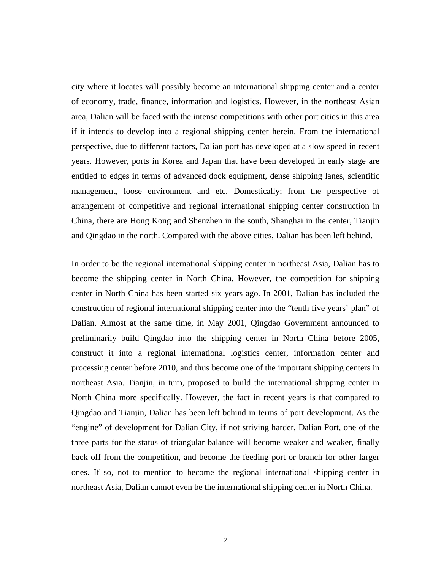city where it locates will possibly become an international shipping center and a center of economy, trade, finance, information and logistics. However, in the northeast Asian area, Dalian will be faced with the intense competitions with other port cities in this area if it intends to develop into a regional shipping center herein. From the international perspective, due to different factors, Dalian port has developed at a slow speed in recent years. However, ports in Korea and Japan that have been developed in early stage are entitled to edges in terms of advanced dock equipment, dense shipping lanes, scientific management, loose environment and etc. Domestically; from the perspective of arrangement of competitive and regional international shipping center construction in China, there are Hong Kong and Shenzhen in the south, Shanghai in the center, Tianjin and Qingdao in the north. Compared with the above cities, Dalian has been left behind.

In order to be the regional international shipping center in northeast Asia, Dalian has to become the shipping center in North China. However, the competition for shipping center in North China has been started six years ago. In 2001, Dalian has included the construction of regional international shipping center into the "tenth five years' plan" of Dalian. Almost at the same time, in May 2001, Qingdao Government announced to preliminarily build Qingdao into the shipping center in North China before 2005, construct it into a regional international logistics center, information center and processing center before 2010, and thus become one of the important shipping centers in northeast Asia. Tianjin, in turn, proposed to build the international shipping center in North China more specifically. However, the fact in recent years is that compared to Qingdao and Tianjin, Dalian has been left behind in terms of port development. As the "engine" of development for Dalian City, if not striving harder, Dalian Port, one of the three parts for the status of triangular balance will become weaker and weaker, finally back off from the competition, and become the feeding port or branch for other larger ones. If so, not to mention to become the regional international shipping center in northeast Asia, Dalian cannot even be the international shipping center in North China.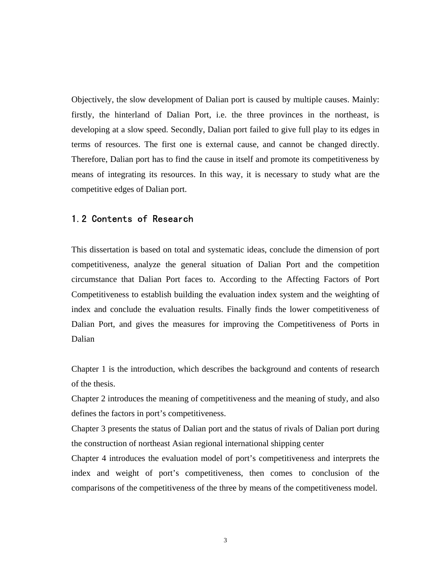Objectively, the slow development of Dalian port is caused by multiple causes. Mainly: firstly, the hinterland of Dalian Port, i.e. the three provinces in the northeast, is developing at a slow speed. Secondly, Dalian port failed to give full play to its edges in terms of resources. The first one is external cause, and cannot be changed directly. Therefore, Dalian port has to find the cause in itself and promote its competitiveness by means of integrating its resources. In this way, it is necessary to study what are the competitive edges of Dalian port.

## 1.2 Contents of Research

This dissertation is based on total and systematic ideas, conclude the dimension of port competitiveness, analyze the general situation of Dalian Port and the competition circumstance that Dalian Port faces to. According to the Affecting Factors of Port Competitiveness to establish building the evaluation index system and the weighting of index and conclude the evaluation results. Finally finds the lower competitiveness of Dalian Port, and gives the measures for improving the Competitiveness of Ports in Dalian

Chapter 1 is the introduction, which describes the background and contents of research of the thesis.

Chapter 2 introduces the meaning of competitiveness and the meaning of study, and also defines the factors in port's competitiveness.

Chapter 3 presents the status of Dalian port and the status of rivals of Dalian port during the construction of northeast Asian regional international shipping center

Chapter 4 introduces the evaluation model of port's competitiveness and interprets the index and weight of port's competitiveness, then comes to conclusion of the comparisons of the competitiveness of the three by means of the competitiveness model.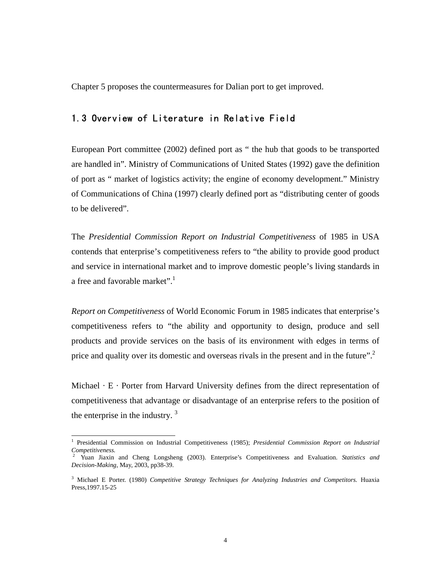Chapter 5 proposes the countermeasures for Dalian port to get improved.

## 1.3 Overview of Literature in Relative Field

European Port committee (2002) defined port as " the hub that goods to be transported are handled in". Ministry of Communications of United States (1992) gave the definition of port as " market of logistics activity; the engine of economy development." Ministry of Communications of China (1997) clearly defined port as "distributing center of goods to be delivered".

The *Presidential Commission Report on Industrial Competitiveness* of 1985 in USA contends that enterprise's competitiveness refers to "the ability to provide good product and service in international market and to improve domestic people's living standards in a free and favorable market".

*Report on Competitiveness* of World Economic Forum in 1985 indicates that enterprise's competitiveness refers to "the ability and opportunity to design, produce and sell products and provide services on the basis of its environment with edges in terms of price and quality over its domestic and overseas rivals in the present and in the future".<sup>2</sup>

Michael  $\cdot$  E  $\cdot$  Porter from Harvard University defines from the direct representation of competitiveness that advantage or disadvantage of an enterprise refers to the position of the enterprise in the industry.  $3$ 

 $\frac{1}{1}$  Presidential Commission on Industrial Competitiveness (1985); *Presidential Commission Report on Industrial Competitiveness.* 2 Yuan Jiaxin and Cheng Longsheng (2003). Enterprise's Competitiveness and Evaluation. *Statistics and*

*Decision-Making*, May, 2003, pp38-39.

<sup>3</sup> Michael E Porter. (1980) *Competitive Strategy Techniques for Analyzing Industries and Competitors.* Huaxia Press,1997.15-25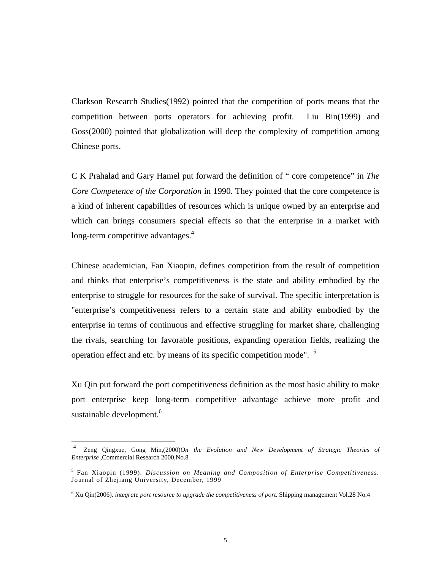Clarkson Research Studies(1992) pointed that the competition of ports means that the competition between ports operators for achieving profit. Liu Bin(1999) and Goss(2000) pointed that globalization will deep the complexity of competition among Chinese ports.

C K Prahalad and Gary Hamel put forward the definition of " core competence" in *The Core Competence of the Corporation* in 1990. They pointed that the core competence is a kind of inherent capabilities of resources which is unique owned by an enterprise and which can brings consumers special effects so that the enterprise in a market with long-term competitive advantages.<sup>4</sup>

Chinese academician, Fan Xiaopin, defines competition from the result of competition and thinks that enterprise's competitiveness is the state and ability embodied by the enterprise to struggle for resources for the sake of survival. The specific interpretation is "enterprise's competitiveness refers to a certain state and ability embodied by the enterprise in terms of continuous and effective struggling for market share, challenging the rivals, searching for favorable positions, expanding operation fields, realizing the operation effect and etc. by means of its specific competition mode". <sup>5</sup>

Xu Qin put forward the port competitiveness definition as the most basic ability to make port enterprise keep long-term competitive advantage achieve more profit and sustainable development.<sup>6</sup>

 <sup>4</sup> Zeng Qingxue, Gong Min,(2000)*On the Evolution and New Development of Strategic Theories of Enterprise* ,Commercial Research 2000,No.8

<sup>5</sup> Fan Xiaopin (1999). *Discussion on Meaning and Composition of Enterprise Competitiveness.* Journal of Zhejiang University, December, 1999

<sup>&</sup>lt;sup>6</sup> Xu Qin(2006). *integrate port resource to upgrade the competitiveness of port*. Shipping management Vol.28 No.4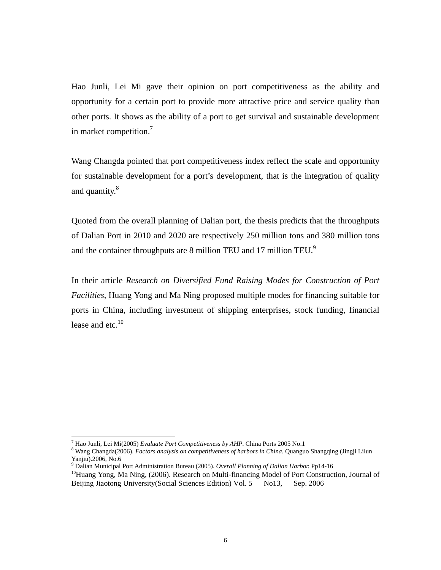Hao Junli, Lei Mi gave their opinion on port competitiveness as the ability and opportunity for a certain port to provide more attractive price and service quality than other ports. It shows as the ability of a port to get survival and sustainable development in market competition.7

Wang Changda pointed that port competitiveness index reflect the scale and opportunity for sustainable development for a port's development, that is the integration of quality and quantity.<sup>8</sup>

Quoted from the overall planning of Dalian port, the thesis predicts that the throughputs of Dalian Port in 2010 and 2020 are respectively 250 million tons and 380 million tons and the container throughputs are 8 million TEU and 17 million TEU.<sup>9</sup>

In their article *Research on Diversified Fund Raising Modes for Construction of Port Facilities*, Huang Yong and Ma Ning proposed multiple modes for financing suitable for ports in China, including investment of shipping enterprises, stock funding, financial lease and etc. $^{10}$ 

<sup>-&</sup>lt;br>7 Hao Junli, Lei Mi(2005) *Evaluate Port Competitiveness by AHP*. China Ports 2005 No.1 8

Wang Changda(2006). *Factors analysis on competitiveness of harbors in China*. Quanguo Shangqing (Jingji Lilun Yanjiu).2006, No.6<br><sup>9</sup> Dalian Municipal Port Administration Bureau (2005). Overall Planning of Dalian Harbor. Pp14-16

<sup>&</sup>lt;sup>10</sup>Huang Yong, Ma Ning, (2006). Research on Multi-financing Model of Port Construction, Journal of Beijing Jiaotong University(Social Sciences Edition) Vol. 5 No13, Sep. 2006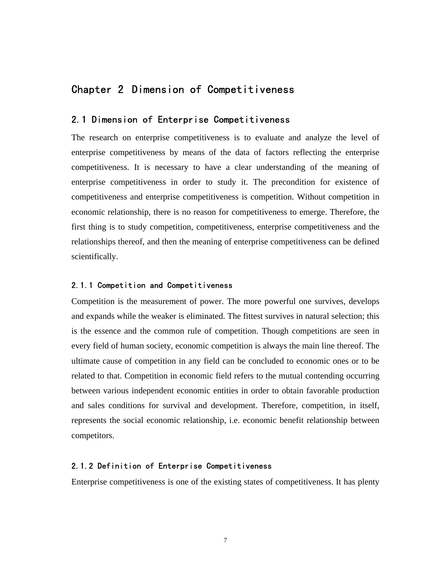## Chapter 2 Dimension of Competitiveness

## 2.1 Dimension of Enterprise Competitiveness

The research on enterprise competitiveness is to evaluate and analyze the level of enterprise competitiveness by means of the data of factors reflecting the enterprise competitiveness. It is necessary to have a clear understanding of the meaning of enterprise competitiveness in order to study it. The precondition for existence of competitiveness and enterprise competitiveness is competition. Without competition in economic relationship, there is no reason for competitiveness to emerge. Therefore, the first thing is to study competition, competitiveness, enterprise competitiveness and the relationships thereof, and then the meaning of enterprise competitiveness can be defined scientifically.

### 2.1.1 Competition and Competitiveness

Competition is the measurement of power. The more powerful one survives, develops and expands while the weaker is eliminated. The fittest survives in natural selection; this is the essence and the common rule of competition. Though competitions are seen in every field of human society, economic competition is always the main line thereof. The ultimate cause of competition in any field can be concluded to economic ones or to be related to that. Competition in economic field refers to the mutual contending occurring between various independent economic entities in order to obtain favorable production and sales conditions for survival and development. Therefore, competition, in itself, represents the social economic relationship, i.e. economic benefit relationship between competitors.

#### 2.1.2 Definition of Enterprise Competitiveness

Enterprise competitiveness is one of the existing states of competitiveness. It has plenty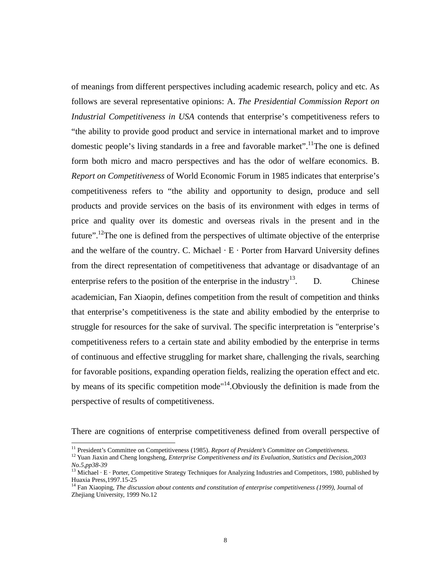of meanings from different perspectives including academic research, policy and etc. As follows are several representative opinions: A. *The Presidential Commission Report on Industrial Competitiveness in USA* contends that enterprise's competitiveness refers to "the ability to provide good product and service in international market and to improve domestic people's living standards in a free and favorable market".<sup>11</sup>The one is defined form both micro and macro perspectives and has the odor of welfare economics. B. *Report on Competitiveness* of World Economic Forum in 1985 indicates that enterprise's competitiveness refers to "the ability and opportunity to design, produce and sell products and provide services on the basis of its environment with edges in terms of price and quality over its domestic and overseas rivals in the present and in the future".<sup>12</sup>The one is defined from the perspectives of ultimate objective of the enterprise and the welfare of the country. C. Michael  $\cdot$  E  $\cdot$  Porter from Harvard University defines from the direct representation of competitiveness that advantage or disadvantage of an enterprise refers to the position of the enterprise in the industry<sup>13</sup>. D. Chinese academician, Fan Xiaopin, defines competition from the result of competition and thinks that enterprise's competitiveness is the state and ability embodied by the enterprise to struggle for resources for the sake of survival. The specific interpretation is "enterprise's competitiveness refers to a certain state and ability embodied by the enterprise in terms of continuous and effective struggling for market share, challenging the rivals, searching for favorable positions, expanding operation fields, realizing the operation effect and etc. by means of its specific competition mode"14.Obviously the definition is made from the perspective of results of competitiveness.

There are cognitions of enterprise competitiveness defined from overall perspective of

<sup>&</sup>lt;sup>11</sup> President's Committee on Competitiveness (1985). *Report of President's Committee on Competitiveness*.<br><sup>12</sup> Yuan Jiaxin and Cheng longsheng, *Enterprise Competitiveness and its Evaluation*, *Statistics and Decision*, *No.5,pp38-39*

<sup>&</sup>lt;sup>13</sup> Michael · E · Porter, Competitive Strategy Techniques for Analyzing Industries and Competitors, 1980, published by Huaxia Press, 1997.15-25

<sup>&</sup>lt;sup>14</sup> Fan Xiaoping, *The discussion about contents and constitution of enterprise competitiveness (1999)*, Journal of Zhejiang University, 1999 No.12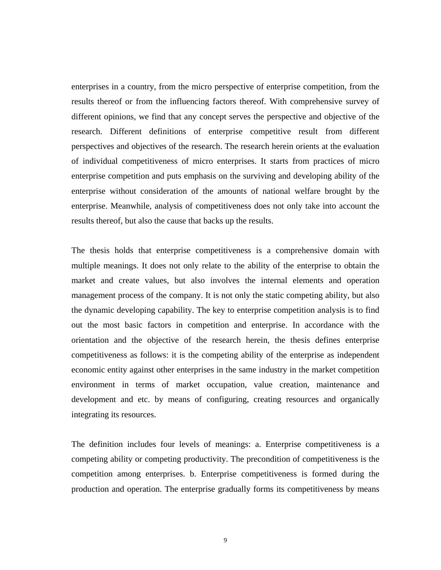enterprises in a country, from the micro perspective of enterprise competition, from the results thereof or from the influencing factors thereof. With comprehensive survey of different opinions, we find that any concept serves the perspective and objective of the research. Different definitions of enterprise competitive result from different perspectives and objectives of the research. The research herein orients at the evaluation of individual competitiveness of micro enterprises. It starts from practices of micro enterprise competition and puts emphasis on the surviving and developing ability of the enterprise without consideration of the amounts of national welfare brought by the enterprise. Meanwhile, analysis of competitiveness does not only take into account the results thereof, but also the cause that backs up the results.

The thesis holds that enterprise competitiveness is a comprehensive domain with multiple meanings. It does not only relate to the ability of the enterprise to obtain the market and create values, but also involves the internal elements and operation management process of the company. It is not only the static competing ability, but also the dynamic developing capability. The key to enterprise competition analysis is to find out the most basic factors in competition and enterprise. In accordance with the orientation and the objective of the research herein, the thesis defines enterprise competitiveness as follows: it is the competing ability of the enterprise as independent economic entity against other enterprises in the same industry in the market competition environment in terms of market occupation, value creation, maintenance and development and etc. by means of configuring, creating resources and organically integrating its resources.

The definition includes four levels of meanings: a. Enterprise competitiveness is a competing ability or competing productivity. The precondition of competitiveness is the competition among enterprises. b. Enterprise competitiveness is formed during the production and operation. The enterprise gradually forms its competitiveness by means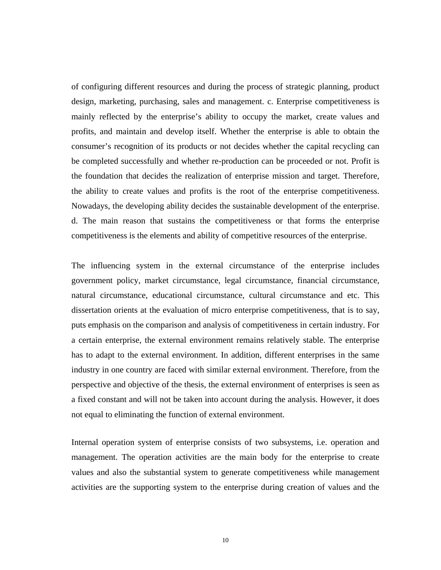of configuring different resources and during the process of strategic planning, product design, marketing, purchasing, sales and management. c. Enterprise competitiveness is mainly reflected by the enterprise's ability to occupy the market, create values and profits, and maintain and develop itself. Whether the enterprise is able to obtain the consumer's recognition of its products or not decides whether the capital recycling can be completed successfully and whether re-production can be proceeded or not. Profit is the foundation that decides the realization of enterprise mission and target. Therefore, the ability to create values and profits is the root of the enterprise competitiveness. Nowadays, the developing ability decides the sustainable development of the enterprise. d. The main reason that sustains the competitiveness or that forms the enterprise competitiveness is the elements and ability of competitive resources of the enterprise.

The influencing system in the external circumstance of the enterprise includes government policy, market circumstance, legal circumstance, financial circumstance, natural circumstance, educational circumstance, cultural circumstance and etc. This dissertation orients at the evaluation of micro enterprise competitiveness, that is to say, puts emphasis on the comparison and analysis of competitiveness in certain industry. For a certain enterprise, the external environment remains relatively stable. The enterprise has to adapt to the external environment. In addition, different enterprises in the same industry in one country are faced with similar external environment. Therefore, from the perspective and objective of the thesis, the external environment of enterprises is seen as a fixed constant and will not be taken into account during the analysis. However, it does not equal to eliminating the function of external environment.

Internal operation system of enterprise consists of two subsystems, i.e. operation and management. The operation activities are the main body for the enterprise to create values and also the substantial system to generate competitiveness while management activities are the supporting system to the enterprise during creation of values and the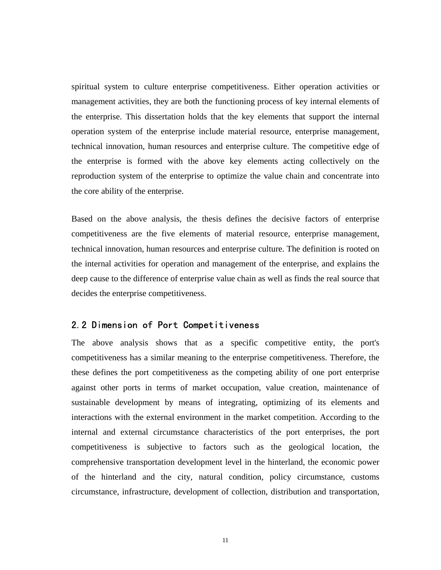spiritual system to culture enterprise competitiveness. Either operation activities or management activities, they are both the functioning process of key internal elements of the enterprise. This dissertation holds that the key elements that support the internal operation system of the enterprise include material resource, enterprise management, technical innovation, human resources and enterprise culture. The competitive edge of the enterprise is formed with the above key elements acting collectively on the reproduction system of the enterprise to optimize the value chain and concentrate into the core ability of the enterprise.

Based on the above analysis, the thesis defines the decisive factors of enterprise competitiveness are the five elements of material resource, enterprise management, technical innovation, human resources and enterprise culture. The definition is rooted on the internal activities for operation and management of the enterprise, and explains the deep cause to the difference of enterprise value chain as well as finds the real source that decides the enterprise competitiveness.

## 2.2 Dimension of Port Competitiveness

The above analysis shows that as a specific competitive entity, the port's competitiveness has a similar meaning to the enterprise competitiveness. Therefore, the these defines the port competitiveness as the competing ability of one port enterprise against other ports in terms of market occupation, value creation, maintenance of sustainable development by means of integrating, optimizing of its elements and interactions with the external environment in the market competition. According to the internal and external circumstance characteristics of the port enterprises, the port competitiveness is subjective to factors such as the geological location, the comprehensive transportation development level in the hinterland, the economic power of the hinterland and the city, natural condition, policy circumstance, customs circumstance, infrastructure, development of collection, distribution and transportation,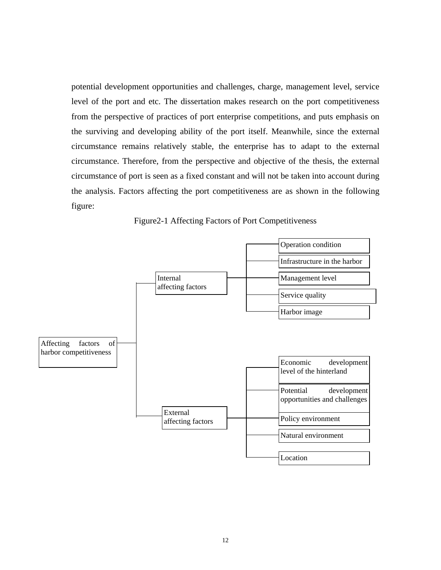potential development opportunities and challenges, charge, management level, service level of the port and etc. The dissertation makes research on the port competitiveness from the perspective of practices of port enterprise competitions, and puts emphasis on the surviving and developing ability of the port itself. Meanwhile, since the external circumstance remains relatively stable, the enterprise has to adapt to the external circumstance. Therefore, from the perspective and objective of the thesis, the external circumstance of port is seen as a fixed constant and will not be taken into account during the analysis. Factors affecting the port competitiveness are as shown in the following figure:



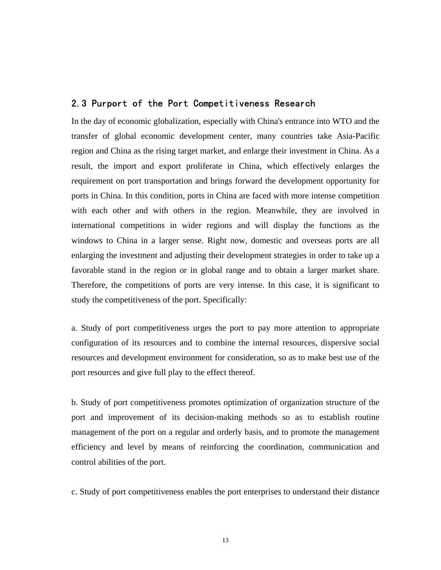### 2.3 Purport of the Port Competitiveness Research

In the day of economic globalization, especially with China's entrance into WTO and the transfer of global economic development center, many countries take Asia-Pacific region and China as the rising target market, and enlarge their investment in China. As a result, the import and export proliferate in China, which effectively enlarges the requirement on port transportation and brings forward the development opportunity for ports in China. In this condition, ports in China are faced with more intense competition with each other and with others in the region. Meanwhile, they are involved in international competitions in wider regions and will display the functions as the windows to China in a larger sense. Right now, domestic and overseas ports are all enlarging the investment and adjusting their development strategies in order to take up a favorable stand in the region or in global range and to obtain a larger market share. Therefore, the competitions of ports are very intense. In this case, it is significant to study the competitiveness of the port. Specifically:

a. Study of port competitiveness urges the port to pay more attention to appropriate configuration of its resources and to combine the internal resources, dispersive social resources and development environment for consideration, so as to make best use of the port resources and give full play to the effect thereof.

b. Study of port competitiveness promotes optimization of organization structure of the port and improvement of its decision-making methods so as to establish routine management of the port on a regular and orderly basis, and to promote the management efficiency and level by means of reinforcing the coordination, communication and control abilities of the port.

c. Study of port competitiveness enables the port enterprises to understand their distance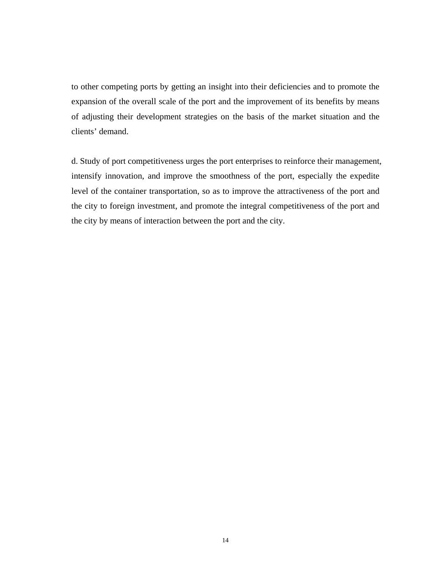to other competing ports by getting an insight into their deficiencies and to promote the expansion of the overall scale of the port and the improvement of its benefits by means of adjusting their development strategies on the basis of the market situation and the clients' demand.

d. Study of port competitiveness urges the port enterprises to reinforce their management, intensify innovation, and improve the smoothness of the port, especially the expedite level of the container transportation, so as to improve the attractiveness of the port and the city to foreign investment, and promote the integral competitiveness of the port and the city by means of interaction between the port and the city.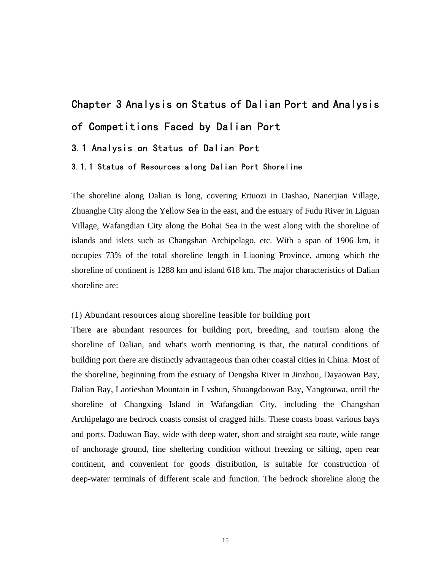# Chapter 3 Analysis on Status of Dalian Port and Analysis of Competitions Faced by Dalian Port 3.1 Analysis on Status of Dalian Port 3.1.1 Status of Resources along Dalian Port Shoreline

The shoreline along Dalian is long, covering Ertuozi in Dashao, Nanerjian Village, Zhuanghe City along the Yellow Sea in the east, and the estuary of Fudu River in Liguan Village, Wafangdian City along the Bohai Sea in the west along with the shoreline of islands and islets such as Changshan Archipelago, etc. With a span of 1906 km, it occupies 73% of the total shoreline length in Liaoning Province, among which the shoreline of continent is 1288 km and island 618 km. The major characteristics of Dalian shoreline are:

#### (1) Abundant resources along shoreline feasible for building port

There are abundant resources for building port, breeding, and tourism along the shoreline of Dalian, and what's worth mentioning is that, the natural conditions of building port there are distinctly advantageous than other coastal cities in China. Most of the shoreline, beginning from the estuary of Dengsha River in Jinzhou, Dayaowan Bay, Dalian Bay, Laotieshan Mountain in Lvshun, Shuangdaowan Bay, Yangtouwa, until the shoreline of Changxing Island in Wafangdian City, including the Changshan Archipelago are bedrock coasts consist of cragged hills. These coasts boast various bays and ports. Daduwan Bay, wide with deep water, short and straight sea route, wide range of anchorage ground, fine sheltering condition without freezing or silting, open rear continent, and convenient for goods distribution, is suitable for construction of deep-water terminals of different scale and function. The bedrock shoreline along the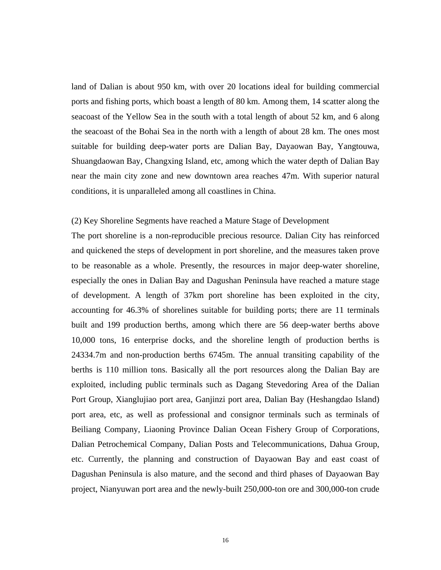land of Dalian is about 950 km, with over 20 locations ideal for building commercial ports and fishing ports, which boast a length of 80 km. Among them, 14 scatter along the seacoast of the Yellow Sea in the south with a total length of about 52 km, and 6 along the seacoast of the Bohai Sea in the north with a length of about 28 km. The ones most suitable for building deep-water ports are Dalian Bay, Dayaowan Bay, Yangtouwa, Shuangdaowan Bay, Changxing Island, etc, among which the water depth of Dalian Bay near the main city zone and new downtown area reaches 47m. With superior natural conditions, it is unparalleled among all coastlines in China.

#### (2) Key Shoreline Segments have reached a Mature Stage of Development

The port shoreline is a non-reproducible precious resource. Dalian City has reinforced and quickened the steps of development in port shoreline, and the measures taken prove to be reasonable as a whole. Presently, the resources in major deep-water shoreline, especially the ones in Dalian Bay and Dagushan Peninsula have reached a mature stage of development. A length of 37km port shoreline has been exploited in the city, accounting for 46.3% of shorelines suitable for building ports; there are 11 terminals built and 199 production berths, among which there are 56 deep-water berths above 10,000 tons, 16 enterprise docks, and the shoreline length of production berths is 24334.7m and non-production berths 6745m. The annual transiting capability of the berths is 110 million tons. Basically all the port resources along the Dalian Bay are exploited, including public terminals such as Dagang Stevedoring Area of the Dalian Port Group, Xianglujiao port area, Ganjinzi port area, Dalian Bay (Heshangdao Island) port area, etc, as well as professional and consignor terminals such as terminals of Beiliang Company, Liaoning Province Dalian Ocean Fishery Group of Corporations, Dalian Petrochemical Company, Dalian Posts and Telecommunications, Dahua Group, etc. Currently, the planning and construction of Dayaowan Bay and east coast of Dagushan Peninsula is also mature, and the second and third phases of Dayaowan Bay project, Nianyuwan port area and the newly-built 250,000-ton ore and 300,000-ton crude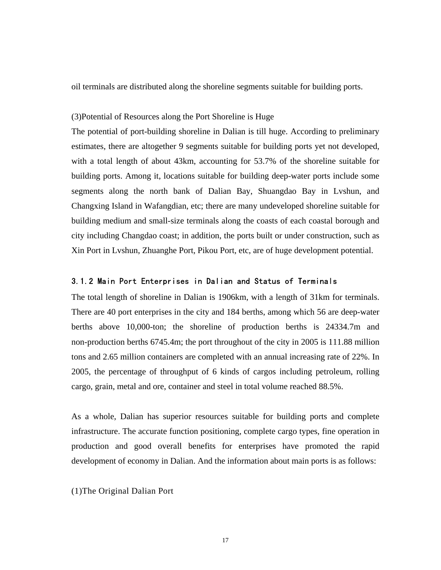oil terminals are distributed along the shoreline segments suitable for building ports.

#### (3)Potential of Resources along the Port Shoreline is Huge

The potential of port-building shoreline in Dalian is till huge. According to preliminary estimates, there are altogether 9 segments suitable for building ports yet not developed, with a total length of about 43km, accounting for 53.7% of the shoreline suitable for building ports. Among it, locations suitable for building deep-water ports include some segments along the north bank of Dalian Bay, Shuangdao Bay in Lvshun, and Changxing Island in Wafangdian, etc; there are many undeveloped shoreline suitable for building medium and small-size terminals along the coasts of each coastal borough and city including Changdao coast; in addition, the ports built or under construction, such as Xin Port in Lvshun, Zhuanghe Port, Pikou Port, etc, are of huge development potential.

#### 3.1.2 Main Port Enterprises in Dalian and Status of Terminals

The total length of shoreline in Dalian is 1906km, with a length of 31km for terminals. There are 40 port enterprises in the city and 184 berths, among which 56 are deep-water berths above 10,000-ton; the shoreline of production berths is 24334.7m and non-production berths 6745.4m; the port throughout of the city in 2005 is 111.88 million tons and 2.65 million containers are completed with an annual increasing rate of 22%. In 2005, the percentage of throughput of 6 kinds of cargos including petroleum, rolling cargo, grain, metal and ore, container and steel in total volume reached 88.5%.

As a whole, Dalian has superior resources suitable for building ports and complete infrastructure. The accurate function positioning, complete cargo types, fine operation in production and good overall benefits for enterprises have promoted the rapid development of economy in Dalian. And the information about main ports is as follows:

(1)The Original Dalian Port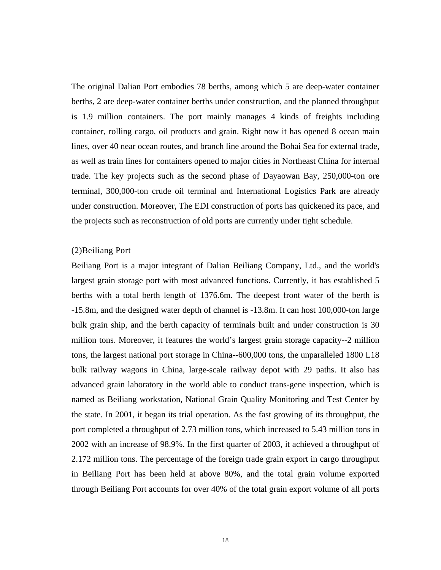The original Dalian Port embodies 78 berths, among which 5 are deep-water container berths, 2 are deep-water container berths under construction, and the planned throughput is 1.9 million containers. The port mainly manages 4 kinds of freights including container, rolling cargo, oil products and grain. Right now it has opened 8 ocean main lines, over 40 near ocean routes, and branch line around the Bohai Sea for external trade, as well as train lines for containers opened to major cities in Northeast China for internal trade. The key projects such as the second phase of Dayaowan Bay, 250,000-ton ore terminal, 300,000-ton crude oil terminal and International Logistics Park are already under construction. Moreover, The EDI construction of ports has quickened its pace, and the projects such as reconstruction of old ports are currently under tight schedule.

### (2)Beiliang Port

Beiliang Port is a major integrant of Dalian Beiliang Company, Ltd., and the world's largest grain storage port with most advanced functions. Currently, it has established 5 berths with a total berth length of 1376.6m. The deepest front water of the berth is -15.8m, and the designed water depth of channel is -13.8m. It can host 100,000-ton large bulk grain ship, and the berth capacity of terminals built and under construction is 30 million tons. Moreover, it features the world's largest grain storage capacity--2 million tons, the largest national port storage in China--600,000 tons, the unparalleled 1800 L18 bulk railway wagons in China, large-scale railway depot with 29 paths. It also has advanced grain laboratory in the world able to conduct trans-gene inspection, which is named as Beiliang workstation, National Grain Quality Monitoring and Test Center by the state. In 2001, it began its trial operation. As the fast growing of its throughput, the port completed a throughput of 2.73 million tons, which increased to 5.43 million tons in 2002 with an increase of 98.9%. In the first quarter of 2003, it achieved a throughput of 2.172 million tons. The percentage of the foreign trade grain export in cargo throughput in Beiliang Port has been held at above 80%, and the total grain volume exported through Beiliang Port accounts for over 40% of the total grain export volume of all ports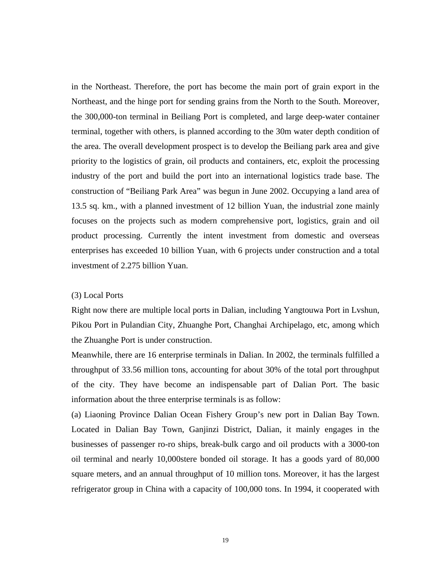in the Northeast. Therefore, the port has become the main port of grain export in the Northeast, and the hinge port for sending grains from the North to the South. Moreover, the 300,000-ton terminal in Beiliang Port is completed, and large deep-water container terminal, together with others, is planned according to the 30m water depth condition of the area. The overall development prospect is to develop the Beiliang park area and give priority to the logistics of grain, oil products and containers, etc, exploit the processing industry of the port and build the port into an international logistics trade base. The construction of "Beiliang Park Area" was begun in June 2002. Occupying a land area of 13.5 sq. km., with a planned investment of 12 billion Yuan, the industrial zone mainly focuses on the projects such as modern comprehensive port, logistics, grain and oil product processing. Currently the intent investment from domestic and overseas enterprises has exceeded 10 billion Yuan, with 6 projects under construction and a total investment of 2.275 billion Yuan.

#### (3) Local Ports

Right now there are multiple local ports in Dalian, including Yangtouwa Port in Lvshun, Pikou Port in Pulandian City, Zhuanghe Port, Changhai Archipelago, etc, among which the Zhuanghe Port is under construction.

Meanwhile, there are 16 enterprise terminals in Dalian. In 2002, the terminals fulfilled a throughput of 33.56 million tons, accounting for about 30% of the total port throughput of the city. They have become an indispensable part of Dalian Port. The basic information about the three enterprise terminals is as follow:

(a) Liaoning Province Dalian Ocean Fishery Group's new port in Dalian Bay Town. Located in Dalian Bay Town, Ganjinzi District, Dalian, it mainly engages in the businesses of passenger ro-ro ships, break-bulk cargo and oil products with a 3000-ton oil terminal and nearly 10,000stere bonded oil storage. It has a goods yard of 80,000 square meters, and an annual throughput of 10 million tons. Moreover, it has the largest refrigerator group in China with a capacity of 100,000 tons. In 1994, it cooperated with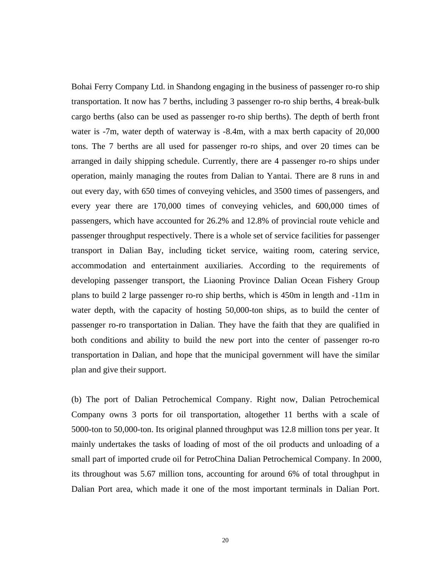Bohai Ferry Company Ltd. in Shandong engaging in the business of passenger ro-ro ship transportation. It now has 7 berths, including 3 passenger ro-ro ship berths, 4 break-bulk cargo berths (also can be used as passenger ro-ro ship berths). The depth of berth front water is -7m, water depth of waterway is -8.4m, with a max berth capacity of 20,000 tons. The 7 berths are all used for passenger ro-ro ships, and over 20 times can be arranged in daily shipping schedule. Currently, there are 4 passenger ro-ro ships under operation, mainly managing the routes from Dalian to Yantai. There are 8 runs in and out every day, with 650 times of conveying vehicles, and 3500 times of passengers, and every year there are 170,000 times of conveying vehicles, and 600,000 times of passengers, which have accounted for 26.2% and 12.8% of provincial route vehicle and passenger throughput respectively. There is a whole set of service facilities for passenger transport in Dalian Bay, including ticket service, waiting room, catering service, accommodation and entertainment auxiliaries. According to the requirements of developing passenger transport, the Liaoning Province Dalian Ocean Fishery Group plans to build 2 large passenger ro-ro ship berths, which is 450m in length and -11m in water depth, with the capacity of hosting 50,000-ton ships, as to build the center of passenger ro-ro transportation in Dalian. They have the faith that they are qualified in both conditions and ability to build the new port into the center of passenger ro-ro transportation in Dalian, and hope that the municipal government will have the similar plan and give their support.

(b) The port of Dalian Petrochemical Company. Right now, Dalian Petrochemical Company owns 3 ports for oil transportation, altogether 11 berths with a scale of 5000-ton to 50,000-ton. Its original planned throughput was 12.8 million tons per year. It mainly undertakes the tasks of loading of most of the oil products and unloading of a small part of imported crude oil for PetroChina Dalian Petrochemical Company. In 2000, its throughout was 5.67 million tons, accounting for around 6% of total throughput in Dalian Port area, which made it one of the most important terminals in Dalian Port.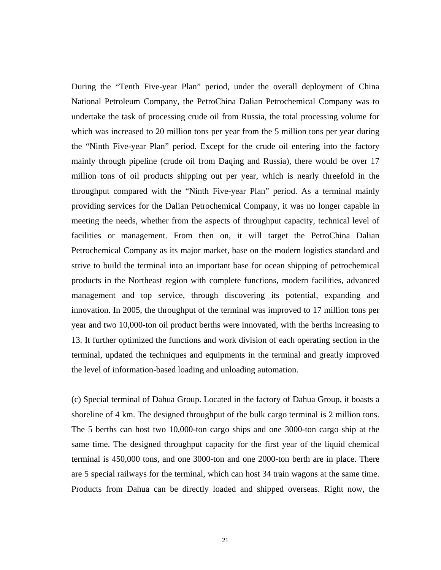During the "Tenth Five-year Plan" period, under the overall deployment of China National Petroleum Company, the PetroChina Dalian Petrochemical Company was to undertake the task of processing crude oil from Russia, the total processing volume for which was increased to 20 million tons per year from the 5 million tons per year during the "Ninth Five-year Plan" period. Except for the crude oil entering into the factory mainly through pipeline (crude oil from Daqing and Russia), there would be over 17 million tons of oil products shipping out per year, which is nearly threefold in the throughput compared with the "Ninth Five-year Plan" period. As a terminal mainly providing services for the Dalian Petrochemical Company, it was no longer capable in meeting the needs, whether from the aspects of throughput capacity, technical level of facilities or management. From then on, it will target the PetroChina Dalian Petrochemical Company as its major market, base on the modern logistics standard and strive to build the terminal into an important base for ocean shipping of petrochemical products in the Northeast region with complete functions, modern facilities, advanced management and top service, through discovering its potential, expanding and innovation. In 2005, the throughput of the terminal was improved to 17 million tons per year and two 10,000-ton oil product berths were innovated, with the berths increasing to 13. It further optimized the functions and work division of each operating section in the terminal, updated the techniques and equipments in the terminal and greatly improved the level of information-based loading and unloading automation.

(c) Special terminal of Dahua Group. Located in the factory of Dahua Group, it boasts a shoreline of 4 km. The designed throughput of the bulk cargo terminal is 2 million tons. The 5 berths can host two 10,000-ton cargo ships and one 3000-ton cargo ship at the same time. The designed throughput capacity for the first year of the liquid chemical terminal is 450,000 tons, and one 3000-ton and one 2000-ton berth are in place. There are 5 special railways for the terminal, which can host 34 train wagons at the same time. Products from Dahua can be directly loaded and shipped overseas. Right now, the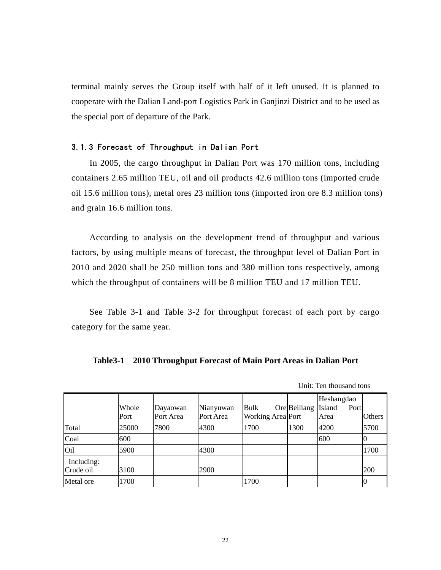terminal mainly serves the Group itself with half of it left unused. It is planned to cooperate with the Dalian Land-port Logistics Park in Ganjinzi District and to be used as the special port of departure of the Park.

### 3.1.3 Forecast of Throughput in Dalian Port

In 2005, the cargo throughput in Dalian Port was 170 million tons, including containers 2.65 million TEU, oil and oil products 42.6 million tons (imported crude oil 15.6 million tons), metal ores 23 million tons (imported iron ore 8.3 million tons) and grain 16.6 million tons.

According to analysis on the development trend of throughput and various factors, by using multiple means of forecast, the throughput level of Dalian Port in 2010 and 2020 shall be 250 million tons and 380 million tons respectively, among which the throughput of containers will be 8 million TEU and 17 million TEU.

See Table 3-1 and Table 3-2 for throughput forecast of each port by cargo category for the same year.

|  | Table 3-1 2010 Throughput Forecast of Main Port Areas in Dalian Port |
|--|----------------------------------------------------------------------|
|--|----------------------------------------------------------------------|

|                         | Whole<br>Port | Dayaowan<br>Port Area | Nianyuwan<br>Port Area | Bulk<br>Working Area Port | Ore Beiliang | Heshangdao<br>Island<br>Port<br>Area | <b>Others</b> |
|-------------------------|---------------|-----------------------|------------------------|---------------------------|--------------|--------------------------------------|---------------|
| Total                   | 25000         | 7800                  | 4300                   | 1700                      | 1300         | 4200                                 | 5700          |
| Coal                    | 600           |                       |                        |                           |              | 600                                  | 0             |
| O <sub>il</sub>         | 5900          |                       | 4300                   |                           |              |                                      | 1700          |
| Including:<br>Crude oil | 3100          |                       | 2900                   |                           |              |                                      | 200           |
| Metal ore               | 1700          |                       |                        | 1700                      |              |                                      |               |

Unit: Ten thousand tons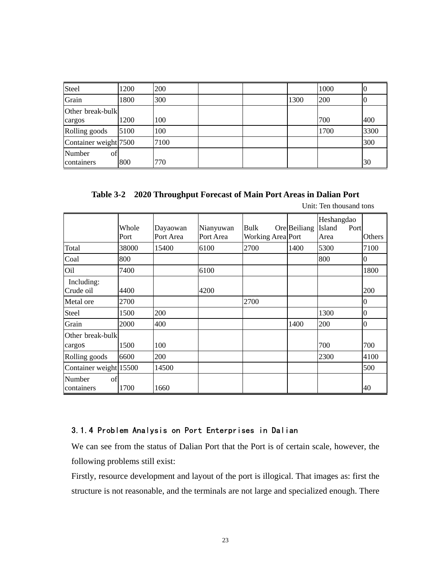| Steel                       | 1200 | 200  |  |      | 1000 | 'U   |
|-----------------------------|------|------|--|------|------|------|
| Grain                       | 1800 | 300  |  | 1300 | 200  | 0    |
| Other break-bulk            |      |      |  |      |      |      |
| cargos                      | 1200 | 100  |  |      | 700  | 400  |
| Rolling goods               | 5100 | 100  |  |      | 1700 | 3300 |
| Container weight 7500       |      | 7100 |  |      |      | 300  |
| Number<br>οfΙ<br>containers | 800  | 770  |  |      |      | 30   |

**Table 3-2 2020 Throughput Forecast of Main Port Areas in Dalian Port** 

|                            | Whole<br>Port | Dayaowan<br>Port Area | Nianyuwan<br>Port Area | Bulk<br>Working Area Port | Ore Beiliang | Heshangdao<br>Island<br>Port<br>Area | Others           |
|----------------------------|---------------|-----------------------|------------------------|---------------------------|--------------|--------------------------------------|------------------|
| Total                      | 38000         | 15400                 | 6100                   | 2700                      | 1400         | 5300                                 | 7100             |
| Coal                       | 800           |                       |                        |                           |              | 800                                  | $\bf{0}$         |
| Oil                        | 7400          |                       | 6100                   |                           |              |                                      | 1800             |
| Including:<br>Crude oil    | 4400          |                       | 4200                   |                           |              |                                      | 200              |
| Metal ore                  | 2700          |                       |                        | 2700                      |              |                                      | $\overline{0}$   |
| Steel                      | 1500          | 200                   |                        |                           |              | 1300                                 | $\boldsymbol{0}$ |
| Grain                      | 2000          | 400                   |                        |                           | 1400         | 200                                  | $\mathbf{0}$     |
| Other break-bulk           |               |                       |                        |                           |              |                                      |                  |
| cargos                     | 1500          | 100                   |                        |                           |              | 700                                  | 700              |
| Rolling goods              | 6600          | 200                   |                        |                           |              | 2300                                 | 4100             |
| Container weight 15500     |               | 14500                 |                        |                           |              |                                      | 500              |
| of<br>Number<br>containers | 1700          | 1660                  |                        |                           |              |                                      | 40               |

## 3.1.4 Problem Analysis on Port Enterprises in Dalian

We can see from the status of Dalian Port that the Port is of certain scale, however, the following problems still exist:

Firstly, resource development and layout of the port is illogical. That images as: first the structure is not reasonable, and the terminals are not large and specialized enough. There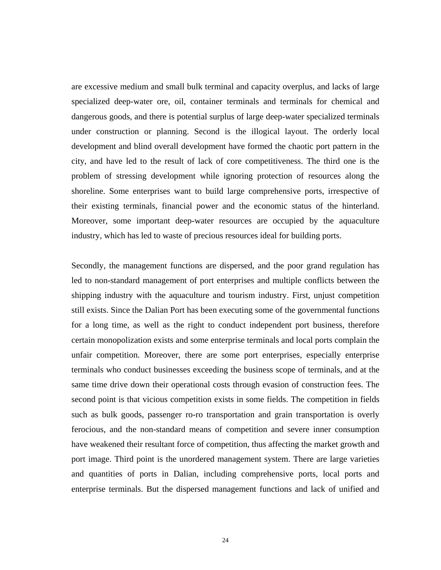are excessive medium and small bulk terminal and capacity overplus, and lacks of large specialized deep-water ore, oil, container terminals and terminals for chemical and dangerous goods, and there is potential surplus of large deep-water specialized terminals under construction or planning. Second is the illogical layout. The orderly local development and blind overall development have formed the chaotic port pattern in the city, and have led to the result of lack of core competitiveness. The third one is the problem of stressing development while ignoring protection of resources along the shoreline. Some enterprises want to build large comprehensive ports, irrespective of their existing terminals, financial power and the economic status of the hinterland. Moreover, some important deep-water resources are occupied by the aquaculture industry, which has led to waste of precious resources ideal for building ports.

Secondly, the management functions are dispersed, and the poor grand regulation has led to non-standard management of port enterprises and multiple conflicts between the shipping industry with the aquaculture and tourism industry. First, unjust competition still exists. Since the Dalian Port has been executing some of the governmental functions for a long time, as well as the right to conduct independent port business, therefore certain monopolization exists and some enterprise terminals and local ports complain the unfair competition. Moreover, there are some port enterprises, especially enterprise terminals who conduct businesses exceeding the business scope of terminals, and at the same time drive down their operational costs through evasion of construction fees. The second point is that vicious competition exists in some fields. The competition in fields such as bulk goods, passenger ro-ro transportation and grain transportation is overly ferocious, and the non-standard means of competition and severe inner consumption have weakened their resultant force of competition, thus affecting the market growth and port image. Third point is the unordered management system. There are large varieties and quantities of ports in Dalian, including comprehensive ports, local ports and enterprise terminals. But the dispersed management functions and lack of unified and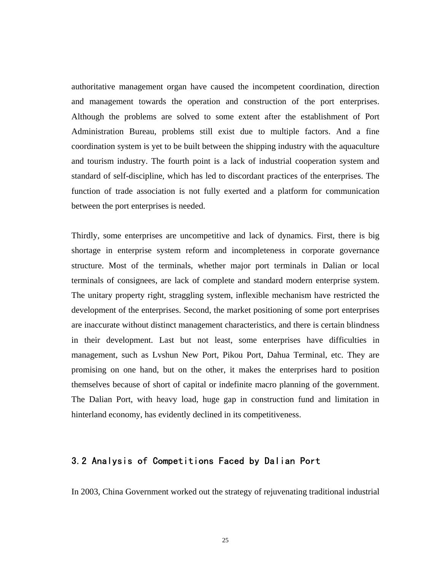authoritative management organ have caused the incompetent coordination, direction and management towards the operation and construction of the port enterprises. Although the problems are solved to some extent after the establishment of Port Administration Bureau, problems still exist due to multiple factors. And a fine coordination system is yet to be built between the shipping industry with the aquaculture and tourism industry. The fourth point is a lack of industrial cooperation system and standard of self-discipline, which has led to discordant practices of the enterprises. The function of trade association is not fully exerted and a platform for communication between the port enterprises is needed.

Thirdly, some enterprises are uncompetitive and lack of dynamics. First, there is big shortage in enterprise system reform and incompleteness in corporate governance structure. Most of the terminals, whether major port terminals in Dalian or local terminals of consignees, are lack of complete and standard modern enterprise system. The unitary property right, straggling system, inflexible mechanism have restricted the development of the enterprises. Second, the market positioning of some port enterprises are inaccurate without distinct management characteristics, and there is certain blindness in their development. Last but not least, some enterprises have difficulties in management, such as Lvshun New Port, Pikou Port, Dahua Terminal, etc. They are promising on one hand, but on the other, it makes the enterprises hard to position themselves because of short of capital or indefinite macro planning of the government. The Dalian Port, with heavy load, huge gap in construction fund and limitation in hinterland economy, has evidently declined in its competitiveness.

## 3.2 Analysis of Competitions Faced by Dalian Port

In 2003, China Government worked out the strategy of rejuvenating traditional industrial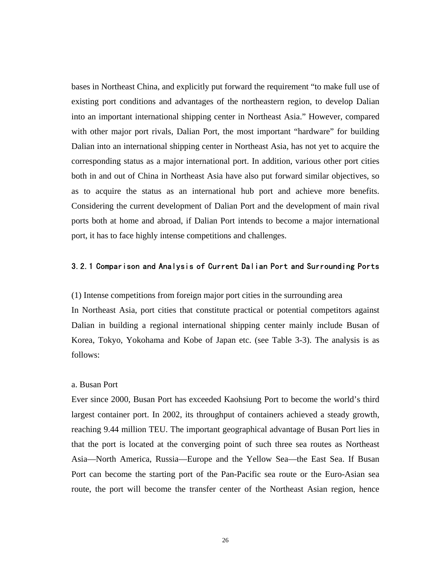bases in Northeast China, and explicitly put forward the requirement "to make full use of existing port conditions and advantages of the northeastern region, to develop Dalian into an important international shipping center in Northeast Asia." However, compared with other major port rivals, Dalian Port, the most important "hardware" for building Dalian into an international shipping center in Northeast Asia, has not yet to acquire the corresponding status as a major international port. In addition, various other port cities both in and out of China in Northeast Asia have also put forward similar objectives, so as to acquire the status as an international hub port and achieve more benefits. Considering the current development of Dalian Port and the development of main rival ports both at home and abroad, if Dalian Port intends to become a major international port, it has to face highly intense competitions and challenges.

### 3.2.1 Comparison and Analysis of Current Dalian Port and Surrounding Ports

(1) Intense competitions from foreign major port cities in the surrounding area

In Northeast Asia, port cities that constitute practical or potential competitors against Dalian in building a regional international shipping center mainly include Busan of Korea, Tokyo, Yokohama and Kobe of Japan etc. (see Table 3-3). The analysis is as follows:

#### a. Busan Port

Ever since 2000, Busan Port has exceeded Kaohsiung Port to become the world's third largest container port. In 2002, its throughput of containers achieved a steady growth, reaching 9.44 million TEU. The important geographical advantage of Busan Port lies in that the port is located at the converging point of such three sea routes as Northeast Asia—North America, Russia—Europe and the Yellow Sea—the East Sea. If Busan Port can become the starting port of the Pan-Pacific sea route or the Euro-Asian sea route, the port will become the transfer center of the Northeast Asian region, hence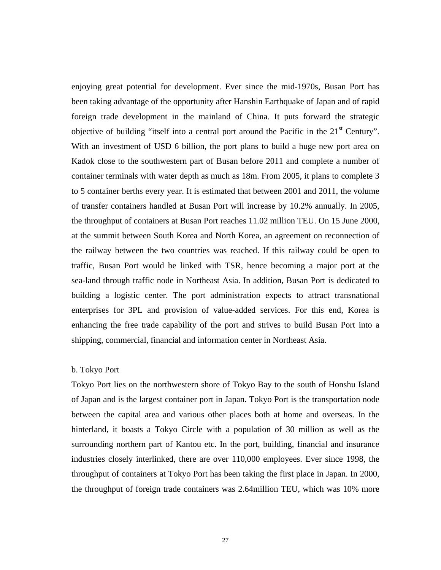enjoying great potential for development. Ever since the mid-1970s, Busan Port has been taking advantage of the opportunity after Hanshin Earthquake of Japan and of rapid foreign trade development in the mainland of China. It puts forward the strategic objective of building "itself into a central port around the Pacific in the 21<sup>st</sup> Century". With an investment of USD 6 billion, the port plans to build a huge new port area on Kadok close to the southwestern part of Busan before 2011 and complete a number of container terminals with water depth as much as 18m. From 2005, it plans to complete 3 to 5 container berths every year. It is estimated that between 2001 and 2011, the volume of transfer containers handled at Busan Port will increase by 10.2% annually. In 2005, the throughput of containers at Busan Port reaches 11.02 million TEU. On 15 June 2000, at the summit between South Korea and North Korea, an agreement on reconnection of the railway between the two countries was reached. If this railway could be open to traffic, Busan Port would be linked with TSR, hence becoming a major port at the sea-land through traffic node in Northeast Asia. In addition, Busan Port is dedicated to building a logistic center. The port administration expects to attract transnational enterprises for 3PL and provision of value-added services. For this end, Korea is enhancing the free trade capability of the port and strives to build Busan Port into a shipping, commercial, financial and information center in Northeast Asia.

### b. Tokyo Port

Tokyo Port lies on the northwestern shore of Tokyo Bay to the south of Honshu Island of Japan and is the largest container port in Japan. Tokyo Port is the transportation node between the capital area and various other places both at home and overseas. In the hinterland, it boasts a Tokyo Circle with a population of 30 million as well as the surrounding northern part of Kantou etc. In the port, building, financial and insurance industries closely interlinked, there are over 110,000 employees. Ever since 1998, the throughput of containers at Tokyo Port has been taking the first place in Japan. In 2000, the throughput of foreign trade containers was 2.64million TEU, which was 10% more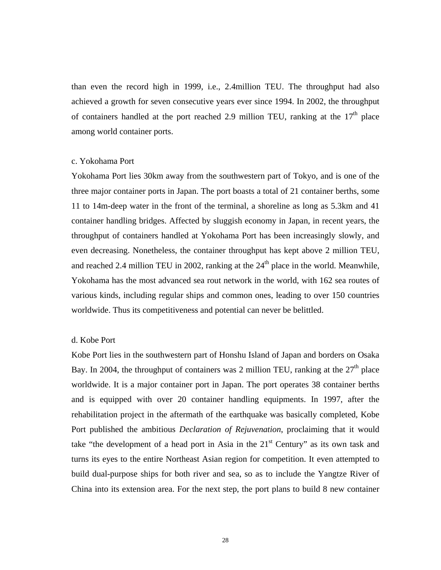than even the record high in 1999, i.e., 2.4million TEU. The throughput had also achieved a growth for seven consecutive years ever since 1994. In 2002, the throughput of containers handled at the port reached 2.9 million TEU, ranking at the  $17<sup>th</sup>$  place among world container ports.

#### c. Yokohama Port

Yokohama Port lies 30km away from the southwestern part of Tokyo, and is one of the three major container ports in Japan. The port boasts a total of 21 container berths, some 11 to 14m-deep water in the front of the terminal, a shoreline as long as 5.3km and 41 container handling bridges. Affected by sluggish economy in Japan, in recent years, the throughput of containers handled at Yokohama Port has been increasingly slowly, and even decreasing. Nonetheless, the container throughput has kept above 2 million TEU, and reached 2.4 million TEU in 2002, ranking at the  $24<sup>th</sup>$  place in the world. Meanwhile, Yokohama has the most advanced sea rout network in the world, with 162 sea routes of various kinds, including regular ships and common ones, leading to over 150 countries worldwide. Thus its competitiveness and potential can never be belittled.

#### d. Kobe Port

Kobe Port lies in the southwestern part of Honshu Island of Japan and borders on Osaka Bay. In 2004, the throughput of containers was 2 million TEU, ranking at the  $27<sup>th</sup>$  place worldwide. It is a major container port in Japan. The port operates 38 container berths and is equipped with over 20 container handling equipments. In 1997, after the rehabilitation project in the aftermath of the earthquake was basically completed, Kobe Port published the ambitious *Declaration of Rejuvenation*, proclaiming that it would take "the development of a head port in Asia in the  $21<sup>st</sup>$  Century" as its own task and turns its eyes to the entire Northeast Asian region for competition. It even attempted to build dual-purpose ships for both river and sea, so as to include the Yangtze River of China into its extension area. For the next step, the port plans to build 8 new container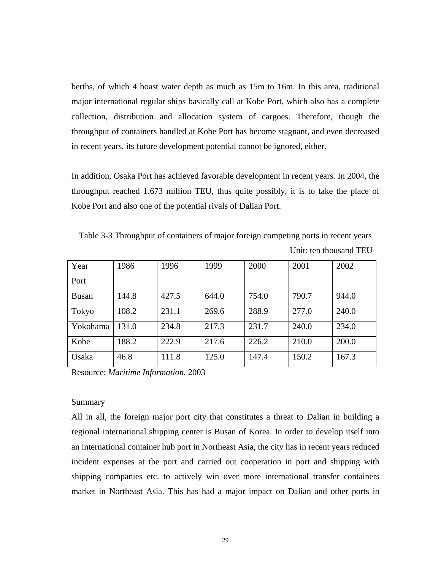berths, of which 4 boast water depth as much as 15m to 16m. In this area, traditional major international regular ships basically call at Kobe Port, which also has a complete collection, distribution and allocation system of cargoes. Therefore, though the throughput of containers handled at Kobe Port has become stagnant, and even decreased in recent years, its future development potential cannot be ignored, either.

In addition, Osaka Port has achieved favorable development in recent years. In 2004, the throughput reached 1.673 million TEU, thus quite possibly, it is to take the place of Kobe Port and also one of the potential rivals of Dalian Port.

Table 3-3 Throughput of containers of major foreign competing ports in recent years Unit: ten thousand TEU

| Year         | 1986  | 1996  | 1999  | 2000  | 2001  | 2002  |
|--------------|-------|-------|-------|-------|-------|-------|
| Port         |       |       |       |       |       |       |
| <b>Busan</b> | 144.8 | 427.5 | 644.0 | 754.0 | 790.7 | 944.0 |
| Tokyo        | 108.2 | 231.1 | 269.6 | 288.9 | 277.0 | 240.0 |
| Yokohama     | 131.0 | 234.8 | 217.3 | 231.7 | 240.0 | 234.0 |
| Kobe         | 188.2 | 222.9 | 217.6 | 226.2 | 210.0 | 200.0 |
| Osaka        | 46.8  | 111.8 | 125.0 | 147.4 | 150.2 | 167.3 |

Resource: *Maritime Information*, 2003

#### Summary

All in all, the foreign major port city that constitutes a threat to Dalian in building a regional international shipping center is Busan of Korea. In order to develop itself into an international container hub port in Northeast Asia, the city has in recent years reduced incident expenses at the port and carried out cooperation in port and shipping with shipping companies etc. to actively win over more international transfer containers market in Northeast Asia. This has had a major impact on Dalian and other ports in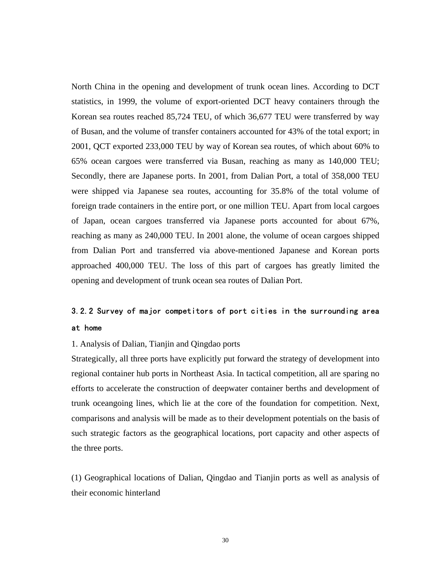North China in the opening and development of trunk ocean lines. According to DCT statistics, in 1999, the volume of export-oriented DCT heavy containers through the Korean sea routes reached 85,724 TEU, of which 36,677 TEU were transferred by way of Busan, and the volume of transfer containers accounted for 43% of the total export; in 2001, QCT exported 233,000 TEU by way of Korean sea routes, of which about 60% to 65% ocean cargoes were transferred via Busan, reaching as many as 140,000 TEU; Secondly, there are Japanese ports. In 2001, from Dalian Port, a total of 358,000 TEU were shipped via Japanese sea routes, accounting for 35.8% of the total volume of foreign trade containers in the entire port, or one million TEU. Apart from local cargoes of Japan, ocean cargoes transferred via Japanese ports accounted for about 67%, reaching as many as 240,000 TEU. In 2001 alone, the volume of ocean cargoes shipped from Dalian Port and transferred via above-mentioned Japanese and Korean ports approached 400,000 TEU. The loss of this part of cargoes has greatly limited the opening and development of trunk ocean sea routes of Dalian Port.

## 3.2.2 Survey of major competitors of port cities in the surrounding area at home

#### 1. Analysis of Dalian, Tianjin and Qingdao ports

Strategically, all three ports have explicitly put forward the strategy of development into regional container hub ports in Northeast Asia. In tactical competition, all are sparing no efforts to accelerate the construction of deepwater container berths and development of trunk oceangoing lines, which lie at the core of the foundation for competition. Next, comparisons and analysis will be made as to their development potentials on the basis of such strategic factors as the geographical locations, port capacity and other aspects of the three ports.

(1) Geographical locations of Dalian, Qingdao and Tianjin ports as well as analysis of their economic hinterland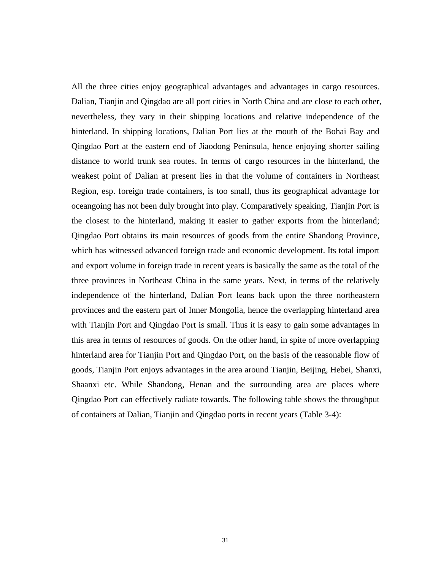All the three cities enjoy geographical advantages and advantages in cargo resources. Dalian, Tianjin and Qingdao are all port cities in North China and are close to each other, nevertheless, they vary in their shipping locations and relative independence of the hinterland. In shipping locations, Dalian Port lies at the mouth of the Bohai Bay and Qingdao Port at the eastern end of Jiaodong Peninsula, hence enjoying shorter sailing distance to world trunk sea routes. In terms of cargo resources in the hinterland, the weakest point of Dalian at present lies in that the volume of containers in Northeast Region, esp. foreign trade containers, is too small, thus its geographical advantage for oceangoing has not been duly brought into play. Comparatively speaking, Tianjin Port is the closest to the hinterland, making it easier to gather exports from the hinterland; Qingdao Port obtains its main resources of goods from the entire Shandong Province, which has witnessed advanced foreign trade and economic development. Its total import and export volume in foreign trade in recent years is basically the same as the total of the three provinces in Northeast China in the same years. Next, in terms of the relatively independence of the hinterland, Dalian Port leans back upon the three northeastern provinces and the eastern part of Inner Mongolia, hence the overlapping hinterland area with Tianjin Port and Qingdao Port is small. Thus it is easy to gain some advantages in this area in terms of resources of goods. On the other hand, in spite of more overlapping hinterland area for Tianjin Port and Qingdao Port, on the basis of the reasonable flow of goods, Tianjin Port enjoys advantages in the area around Tianjin, Beijing, Hebei, Shanxi, Shaanxi etc. While Shandong, Henan and the surrounding area are places where Qingdao Port can effectively radiate towards. The following table shows the throughput of containers at Dalian, Tianjin and Qingdao ports in recent years (Table 3-4):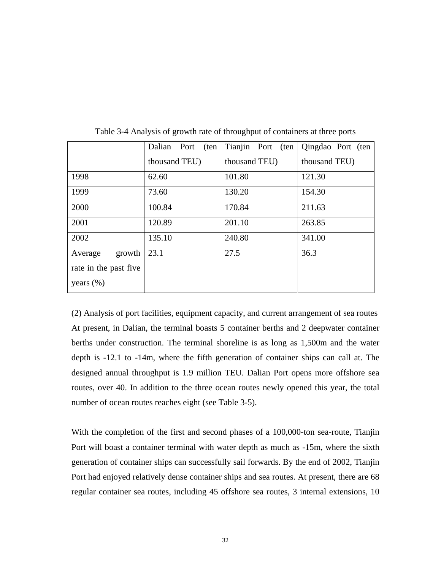|                       | Dalian Port<br>(ten | Tianjin Port (ten | Qingdao Port (ten |
|-----------------------|---------------------|-------------------|-------------------|
|                       | thousand TEU)       | thousand TEU)     | thousand TEU)     |
| 1998                  | 62.60               | 101.80            | 121.30            |
| 1999                  | 73.60               | 130.20            | 154.30            |
| 2000                  | 100.84              | 170.84            | 211.63            |
| 2001                  | 120.89              | 201.10            | 263.85            |
| 2002                  | 135.10              | 240.80            | 341.00            |
| growth<br>Average     | 23.1                | 27.5              | 36.3              |
| rate in the past five |                     |                   |                   |
| years $(\% )$         |                     |                   |                   |

Table 3-4 Analysis of growth rate of throughput of containers at three ports

(2) Analysis of port facilities, equipment capacity, and current arrangement of sea routes At present, in Dalian, the terminal boasts 5 container berths and 2 deepwater container berths under construction. The terminal shoreline is as long as 1,500m and the water depth is -12.1 to -14m, where the fifth generation of container ships can call at. The designed annual throughput is 1.9 million TEU. Dalian Port opens more offshore sea routes, over 40. In addition to the three ocean routes newly opened this year, the total number of ocean routes reaches eight (see Table 3-5).

With the completion of the first and second phases of a 100,000-ton sea-route, Tianjin Port will boast a container terminal with water depth as much as -15m, where the sixth generation of container ships can successfully sail forwards. By the end of 2002, Tianjin Port had enjoyed relatively dense container ships and sea routes. At present, there are 68 regular container sea routes, including 45 offshore sea routes, 3 internal extensions, 10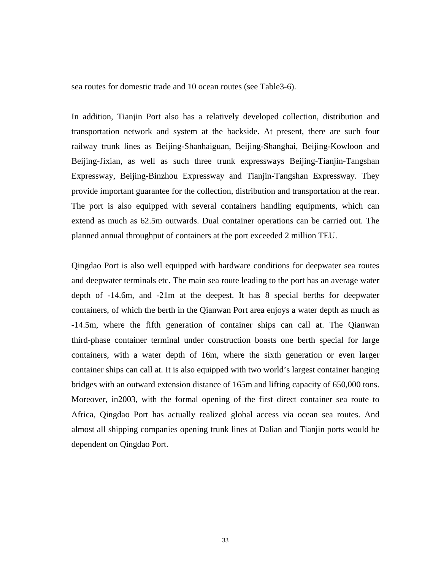sea routes for domestic trade and 10 ocean routes (see Table3-6).

In addition, Tianjin Port also has a relatively developed collection, distribution and transportation network and system at the backside. At present, there are such four railway trunk lines as Beijing-Shanhaiguan, Beijing-Shanghai, Beijing-Kowloon and Beijing-Jixian, as well as such three trunk expressways Beijing-Tianjin-Tangshan Expressway, Beijing-Binzhou Expressway and Tianjin-Tangshan Expressway. They provide important guarantee for the collection, distribution and transportation at the rear. The port is also equipped with several containers handling equipments, which can extend as much as 62.5m outwards. Dual container operations can be carried out. The planned annual throughput of containers at the port exceeded 2 million TEU.

Qingdao Port is also well equipped with hardware conditions for deepwater sea routes and deepwater terminals etc. The main sea route leading to the port has an average water depth of -14.6m, and -21m at the deepest. It has 8 special berths for deepwater containers, of which the berth in the Qianwan Port area enjoys a water depth as much as -14.5m, where the fifth generation of container ships can call at. The Qianwan third-phase container terminal under construction boasts one berth special for large containers, with a water depth of 16m, where the sixth generation or even larger container ships can call at. It is also equipped with two world's largest container hanging bridges with an outward extension distance of 165m and lifting capacity of 650,000 tons. Moreover, in2003, with the formal opening of the first direct container sea route to Africa, Qingdao Port has actually realized global access via ocean sea routes. And almost all shipping companies opening trunk lines at Dalian and Tianjin ports would be dependent on Qingdao Port.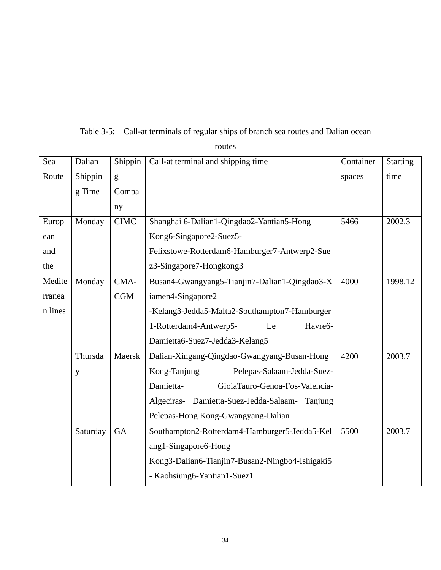| Sea     | Dalian   | Shippin     | Call-at terminal and shipping time              | Container | <b>Starting</b> |
|---------|----------|-------------|-------------------------------------------------|-----------|-----------------|
| Route   | Shippin  | g           |                                                 | spaces    | time            |
|         | g Time   | Compa       |                                                 |           |                 |
|         |          | ny          |                                                 |           |                 |
| Europ   | Monday   | <b>CIMC</b> | Shanghai 6-Dalian1-Qingdao2-Yantian5-Hong       | 5466      | 2002.3          |
| ean     |          |             | Kong6-Singapore2-Suez5-                         |           |                 |
| and     |          |             | Felixstowe-Rotterdam6-Hamburger7-Antwerp2-Sue   |           |                 |
| the     |          |             | z3-Singapore7-Hongkong3                         |           |                 |
| Medite  | Monday   | CMA-        | Busan4-Gwangyang5-Tianjin7-Dalian1-Qingdao3-X   | 4000      | 1998.12         |
| rranea  |          | CGM         | iamen4-Singapore2                               |           |                 |
| n lines |          |             | -Kelang3-Jedda5-Malta2-Southampton7-Hamburger   |           |                 |
|         |          |             | 1-Rotterdam4-Antwerp5-<br>Havre6-<br>Le         |           |                 |
|         |          |             | Damietta6-Suez7-Jedda3-Kelang5                  |           |                 |
|         | Thursda  | Maersk      | Dalian-Xingang-Qingdao-Gwangyang-Busan-Hong     | 4200      | 2003.7          |
|         | y        |             | Kong-Tanjung<br>Pelepas-Salaam-Jedda-Suez-      |           |                 |
|         |          |             | Damietta-<br>GioiaTauro-Genoa-Fos-Valencia-     |           |                 |
|         |          |             | Algeciras- Damietta-Suez-Jedda-Salaam- Tanjung  |           |                 |
|         |          |             | Pelepas-Hong Kong-Gwangyang-Dalian              |           |                 |
|         | Saturday | <b>GA</b>   | Southampton2-Rotterdam4-Hamburger5-Jedda5-Kel   | 5500      | 2003.7          |
|         |          |             | ang1-Singapore6-Hong                            |           |                 |
|         |          |             | Kong3-Dalian6-Tianjin7-Busan2-Ningbo4-Ishigaki5 |           |                 |
|         |          |             | - Kaohsiung6-Yantian1-Suez1                     |           |                 |
|         |          |             |                                                 |           |                 |

Table 3-5: Call-at terminals of regular ships of branch sea routes and Dalian ocean

routes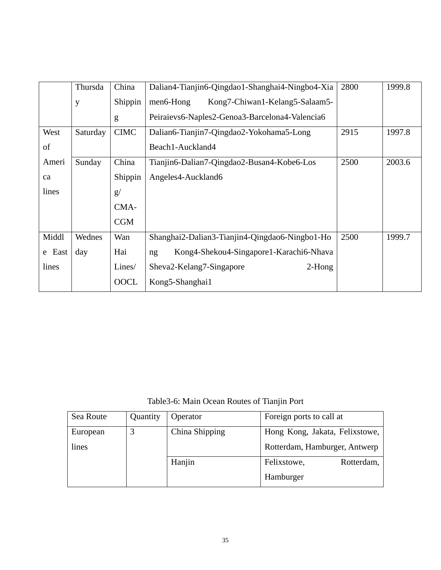|        | Thursda  | China       | Dalian4-Tianjin6-Qingdao1-Shanghai4-Ningbo4-Xia | 2800 | 1999.8 |
|--------|----------|-------------|-------------------------------------------------|------|--------|
|        | y        | Shippin     | men6-Hong<br>Kong7-Chiwan1-Kelang5-Salaam5-     |      |        |
|        |          | g           | Peiraievs6-Naples2-Genoa3-Barcelona4-Valencia6  |      |        |
| West   | Saturday | <b>CIMC</b> | Dalian6-Tianjin7-Qingdao2-Yokohama5-Long        | 2915 | 1997.8 |
| of     |          |             | Beach1-Auckland4                                |      |        |
| Ameri  | Sunday   | China       | Tianjin6-Dalian7-Qingdao2-Busan4-Kobe6-Los      | 2500 | 2003.6 |
| ca     |          | Shippin     | Angeles4-Auckland6                              |      |        |
| lines  |          | g/          |                                                 |      |        |
|        |          | CMA-        |                                                 |      |        |
|        |          | <b>CGM</b>  |                                                 |      |        |
| Middl  | Wednes   | Wan         | Shanghai2-Dalian3-Tianjin4-Qingdao6-Ningbo1-Ho  | 2500 | 1999.7 |
| e East | day      | Hai         | Kong4-Shekou4-Singapore1-Karachi6-Nhava<br>ng   |      |        |
| lines  |          | Lines/      | Sheva2-Kelang7-Singapore<br>$2-Hong$            |      |        |
|        |          | <b>OOCL</b> | Kong5-Shanghai1                                 |      |        |

Table3-6: Main Ocean Routes of Tianjin Port

| Sea Route | Quantity | Operator       | Foreign ports to call at       |  |  |
|-----------|----------|----------------|--------------------------------|--|--|
| European  |          | China Shipping | Hong Kong, Jakata, Felixstowe, |  |  |
| lines     |          |                | Rotterdam, Hamburger, Antwerp  |  |  |
|           |          | Hanjin         | Felixstowe,<br>Rotterdam,      |  |  |
|           |          |                | Hamburger                      |  |  |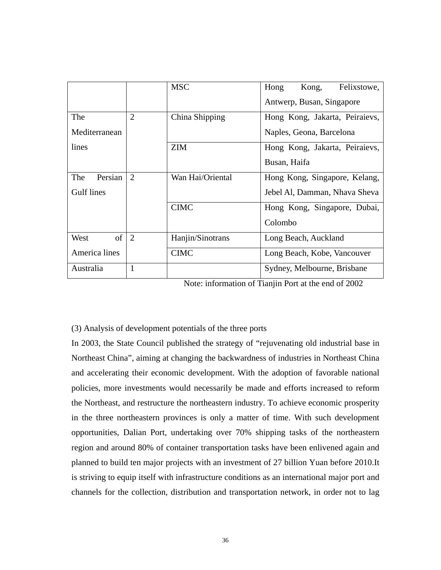|                |                | <b>MSC</b>       | Hong<br>Kong,<br>Felixstowe,   |  |  |  |
|----------------|----------------|------------------|--------------------------------|--|--|--|
|                |                |                  | Antwerp, Busan, Singapore      |  |  |  |
| The            | $\overline{2}$ | China Shipping   | Hong Kong, Jakarta, Peiraievs, |  |  |  |
| Mediterranean  |                |                  | Naples, Geona, Barcelona       |  |  |  |
| lines          |                | <b>ZIM</b>       | Hong Kong, Jakarta, Peiraievs, |  |  |  |
|                |                |                  | Busan, Haifa                   |  |  |  |
| Persian<br>The | 2              | Wan Hai/Oriental | Hong Kong, Singapore, Kelang,  |  |  |  |
| Gulf lines     |                |                  | Jebel Al, Damman, Nhava Sheva  |  |  |  |
|                |                | <b>CIMC</b>      | Hong Kong, Singapore, Dubai,   |  |  |  |
|                |                |                  | Colombo                        |  |  |  |
| of<br>West     | 2              | Hanjin/Sinotrans | Long Beach, Auckland           |  |  |  |
| America lines  |                | <b>CIMC</b>      | Long Beach, Kobe, Vancouver    |  |  |  |
| Australia      | 1              |                  | Sydney, Melbourne, Brisbane    |  |  |  |

Note: information of Tianjin Port at the end of 2002

#### (3) Analysis of development potentials of the three ports

In 2003, the State Council published the strategy of "rejuvenating old industrial base in Northeast China", aiming at changing the backwardness of industries in Northeast China and accelerating their economic development. With the adoption of favorable national policies, more investments would necessarily be made and efforts increased to reform the Northeast, and restructure the northeastern industry. To achieve economic prosperity in the three northeastern provinces is only a matter of time. With such development opportunities, Dalian Port, undertaking over 70% shipping tasks of the northeastern region and around 80% of container transportation tasks have been enlivened again and planned to build ten major projects with an investment of 27 billion Yuan before 2010.It is striving to equip itself with infrastructure conditions as an international major port and channels for the collection, distribution and transportation network, in order not to lag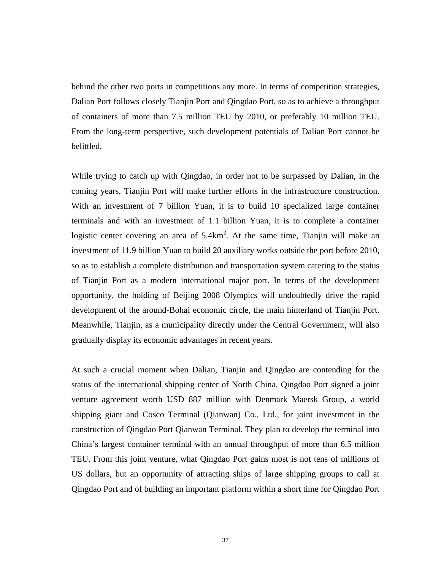behind the other two ports in competitions any more. In terms of competition strategies, Dalian Port follows closely Tianjin Port and Qingdao Port, so as to achieve a throughput of containers of more than 7.5 million TEU by 2010, or preferably 10 million TEU. From the long-term perspective, such development potentials of Dalian Port cannot be belittled.

While trying to catch up with Qingdao, in order not to be surpassed by Dalian, in the coming years, Tianjin Port will make further efforts in the infrastructure construction. With an investment of 7 billion Yuan, it is to build 10 specialized large container terminals and with an investment of 1.1 billion Yuan, it is to complete a container logistic center covering an area of  $5.4 \text{km}^2$ . At the same time, Tianjin will make an investment of 11.9 billion Yuan to build 20 auxiliary works outside the port before 2010, so as to establish a complete distribution and transportation system catering to the status of Tianjin Port as a modern international major port. In terms of the development opportunity, the holding of Beijing 2008 Olympics will undoubtedly drive the rapid development of the around-Bohai economic circle, the main hinterland of Tianjin Port. Meanwhile, Tianjin, as a municipality directly under the Central Government, will also gradually display its economic advantages in recent years.

At such a crucial moment when Dalian, Tianjin and Qingdao are contending for the status of the international shipping center of North China, Qingdao Port signed a joint venture agreement worth USD 887 million with Denmark Maersk Group, a world shipping giant and Cosco Terminal (Qianwan) Co., Ltd., for joint investment in the construction of Qingdao Port Qianwan Terminal. They plan to develop the terminal into China's largest container terminal with an annual throughput of more than 6.5 million TEU. From this joint venture, what Qingdao Port gains most is not tens of millions of US dollars, but an opportunity of attracting ships of large shipping groups to call at Qingdao Port and of building an important platform within a short time for Qingdao Port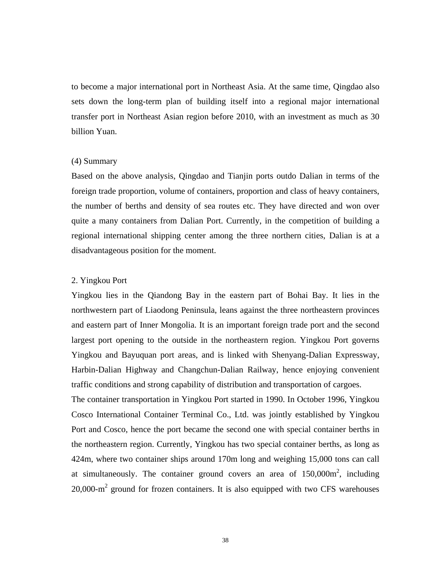to become a major international port in Northeast Asia. At the same time, Qingdao also sets down the long-term plan of building itself into a regional major international transfer port in Northeast Asian region before 2010, with an investment as much as 30 billion Yuan.

#### (4) Summary

Based on the above analysis, Qingdao and Tianjin ports outdo Dalian in terms of the foreign trade proportion, volume of containers, proportion and class of heavy containers, the number of berths and density of sea routes etc. They have directed and won over quite a many containers from Dalian Port. Currently, in the competition of building a regional international shipping center among the three northern cities, Dalian is at a disadvantageous position for the moment.

#### 2. Yingkou Port

Yingkou lies in the Qiandong Bay in the eastern part of Bohai Bay. It lies in the northwestern part of Liaodong Peninsula, leans against the three northeastern provinces and eastern part of Inner Mongolia. It is an important foreign trade port and the second largest port opening to the outside in the northeastern region. Yingkou Port governs Yingkou and Bayuquan port areas, and is linked with Shenyang-Dalian Expressway, Harbin-Dalian Highway and Changchun-Dalian Railway, hence enjoying convenient traffic conditions and strong capability of distribution and transportation of cargoes.

The container transportation in Yingkou Port started in 1990. In October 1996, Yingkou Cosco International Container Terminal Co., Ltd. was jointly established by Yingkou Port and Cosco, hence the port became the second one with special container berths in the northeastern region. Currently, Yingkou has two special container berths, as long as 424m, where two container ships around 170m long and weighing 15,000 tons can call at simultaneously. The container ground covers an area of  $150,000\,\text{m}^2$ , including 20,000- $m^2$  ground for frozen containers. It is also equipped with two CFS warehouses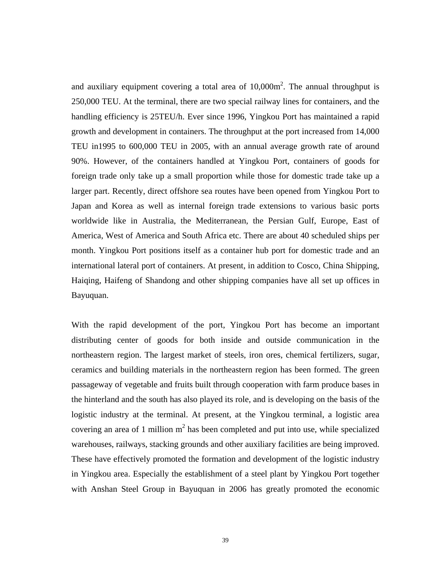and auxiliary equipment covering a total area of  $10,000$ m<sup>2</sup>. The annual throughput is 250,000 TEU. At the terminal, there are two special railway lines for containers, and the handling efficiency is 25TEU/h. Ever since 1996, Yingkou Port has maintained a rapid growth and development in containers. The throughput at the port increased from 14,000 TEU in1995 to 600,000 TEU in 2005, with an annual average growth rate of around 90%. However, of the containers handled at Yingkou Port, containers of goods for foreign trade only take up a small proportion while those for domestic trade take up a larger part. Recently, direct offshore sea routes have been opened from Yingkou Port to Japan and Korea as well as internal foreign trade extensions to various basic ports worldwide like in Australia, the Mediterranean, the Persian Gulf, Europe, East of America, West of America and South Africa etc. There are about 40 scheduled ships per month. Yingkou Port positions itself as a container hub port for domestic trade and an international lateral port of containers. At present, in addition to Cosco, China Shipping, Haiqing, Haifeng of Shandong and other shipping companies have all set up offices in Bayuquan.

With the rapid development of the port, Yingkou Port has become an important distributing center of goods for both inside and outside communication in the northeastern region. The largest market of steels, iron ores, chemical fertilizers, sugar, ceramics and building materials in the northeastern region has been formed. The green passageway of vegetable and fruits built through cooperation with farm produce bases in the hinterland and the south has also played its role, and is developing on the basis of the logistic industry at the terminal. At present, at the Yingkou terminal, a logistic area covering an area of 1 million  $m<sup>2</sup>$  has been completed and put into use, while specialized warehouses, railways, stacking grounds and other auxiliary facilities are being improved. These have effectively promoted the formation and development of the logistic industry in Yingkou area. Especially the establishment of a steel plant by Yingkou Port together with Anshan Steel Group in Bayuquan in 2006 has greatly promoted the economic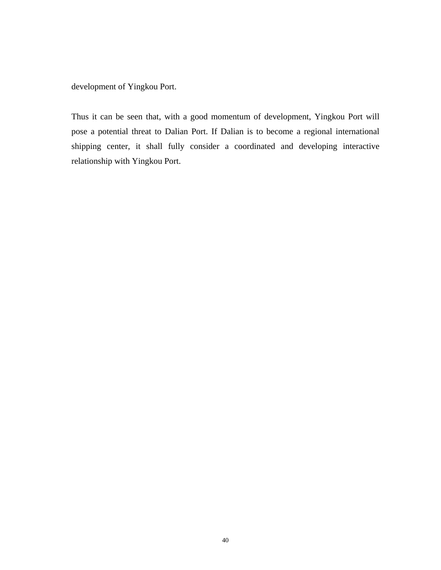development of Yingkou Port.

Thus it can be seen that, with a good momentum of development, Yingkou Port will pose a potential threat to Dalian Port. If Dalian is to become a regional international shipping center, it shall fully consider a coordinated and developing interactive relationship with Yingkou Port.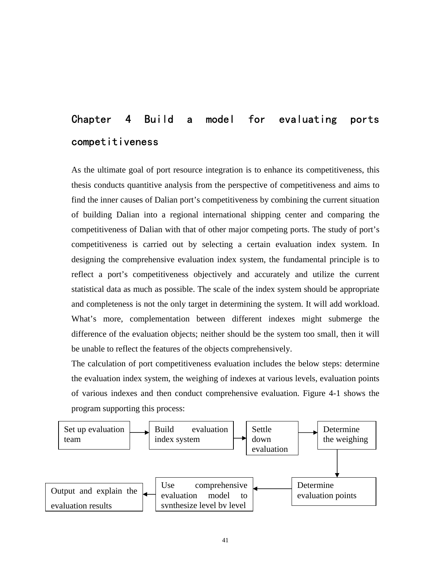# Chapter 4 Build a model for evaluating ports competitiveness

As the ultimate goal of port resource integration is to enhance its competitiveness, this thesis conducts quantitive analysis from the perspective of competitiveness and aims to find the inner causes of Dalian port's competitiveness by combining the current situation of building Dalian into a regional international shipping center and comparing the competitiveness of Dalian with that of other major competing ports. The study of port's competitiveness is carried out by selecting a certain evaluation index system. In designing the comprehensive evaluation index system, the fundamental principle is to reflect a port's competitiveness objectively and accurately and utilize the current statistical data as much as possible. The scale of the index system should be appropriate and completeness is not the only target in determining the system. It will add workload. What's more, complementation between different indexes might submerge the difference of the evaluation objects; neither should be the system too small, then it will be unable to reflect the features of the objects comprehensively.

The calculation of port competitiveness evaluation includes the below steps: determine the evaluation index system, the weighing of indexes at various levels, evaluation points of various indexes and then conduct comprehensive evaluation. Figure 4-1 shows the program supporting this process:

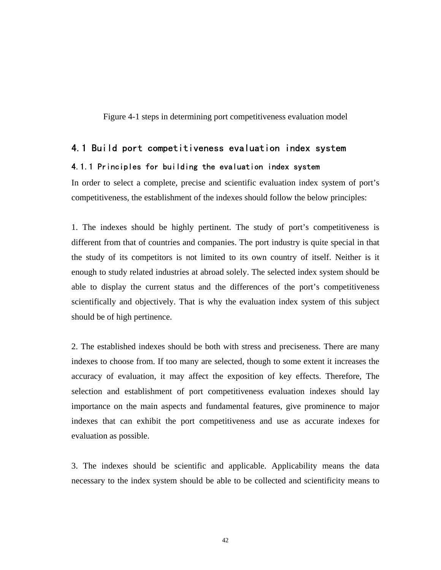Figure 4-1 steps in determining port competitiveness evaluation model

#### 4.1 Build port competitiveness evaluation index system

#### 4.1.1 Principles for building the evaluation index system

In order to select a complete, precise and scientific evaluation index system of port's competitiveness, the establishment of the indexes should follow the below principles:

1. The indexes should be highly pertinent. The study of port's competitiveness is different from that of countries and companies. The port industry is quite special in that the study of its competitors is not limited to its own country of itself. Neither is it enough to study related industries at abroad solely. The selected index system should be able to display the current status and the differences of the port's competitiveness scientifically and objectively. That is why the evaluation index system of this subject should be of high pertinence.

2. The established indexes should be both with stress and preciseness. There are many indexes to choose from. If too many are selected, though to some extent it increases the accuracy of evaluation, it may affect the exposition of key effects. Therefore, The selection and establishment of port competitiveness evaluation indexes should lay importance on the main aspects and fundamental features, give prominence to major indexes that can exhibit the port competitiveness and use as accurate indexes for evaluation as possible.

3. The indexes should be scientific and applicable. Applicability means the data necessary to the index system should be able to be collected and scientificity means to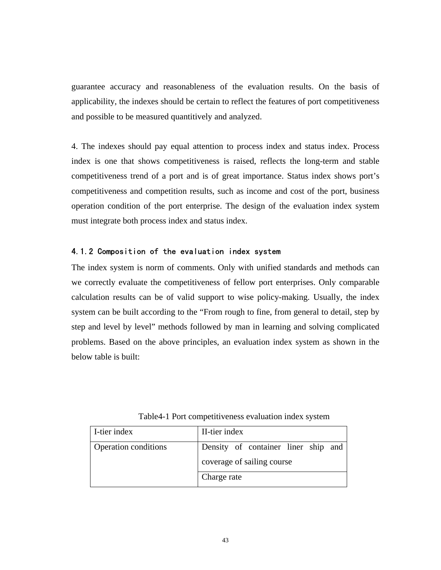guarantee accuracy and reasonableness of the evaluation results. On the basis of applicability, the indexes should be certain to reflect the features of port competitiveness and possible to be measured quantitively and analyzed.

4. The indexes should pay equal attention to process index and status index. Process index is one that shows competitiveness is raised, reflects the long-term and stable competitiveness trend of a port and is of great importance. Status index shows port's competitiveness and competition results, such as income and cost of the port, business operation condition of the port enterprise. The design of the evaluation index system must integrate both process index and status index.

#### 4.1.2 Composition of the evaluation index system

The index system is norm of comments. Only with unified standards and methods can we correctly evaluate the competitiveness of fellow port enterprises. Only comparable calculation results can be of valid support to wise policy-making. Usually, the index system can be built according to the "From rough to fine, from general to detail, step by step and level by level" methods followed by man in learning and solving complicated problems. Based on the above principles, an evaluation index system as shown in the below table is built:

| I-tier index         | II-tier index                                                     |
|----------------------|-------------------------------------------------------------------|
| Operation conditions | Density of container liner ship and<br>coverage of sailing course |
|                      | Charge rate                                                       |

Table4-1 Port competitiveness evaluation index system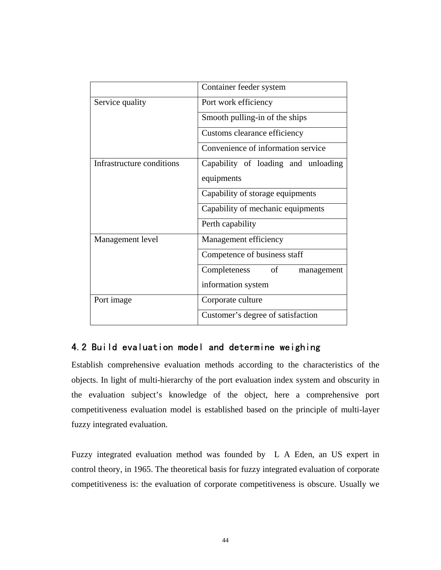|                           | Container feeder system             |  |  |
|---------------------------|-------------------------------------|--|--|
| Service quality           | Port work efficiency                |  |  |
|                           | Smooth pulling-in of the ships      |  |  |
|                           | Customs clearance efficiency        |  |  |
|                           | Convenience of information service  |  |  |
| Infrastructure conditions | Capability of loading and unloading |  |  |
|                           | equipments                          |  |  |
|                           | Capability of storage equipments    |  |  |
|                           | Capability of mechanic equipments   |  |  |
|                           | Perth capability                    |  |  |
| Management level          | Management efficiency               |  |  |
|                           | Competence of business staff        |  |  |
|                           | Completeness<br>of<br>management    |  |  |
|                           | information system                  |  |  |
| Port image                | Corporate culture                   |  |  |
|                           | Customer's degree of satisfaction   |  |  |

#### 4.2 Build evaluation model and determine weighing

Establish comprehensive evaluation methods according to the characteristics of the objects. In light of multi-hierarchy of the port evaluation index system and obscurity in the evaluation subject's knowledge of the object, here a comprehensive port competitiveness evaluation model is established based on the principle of multi-layer fuzzy integrated evaluation.

Fuzzy integrated evaluation method was founded by L A Eden, an US expert in control theory, in 1965. The theoretical basis for fuzzy integrated evaluation of corporate competitiveness is: the evaluation of corporate competitiveness is obscure. Usually we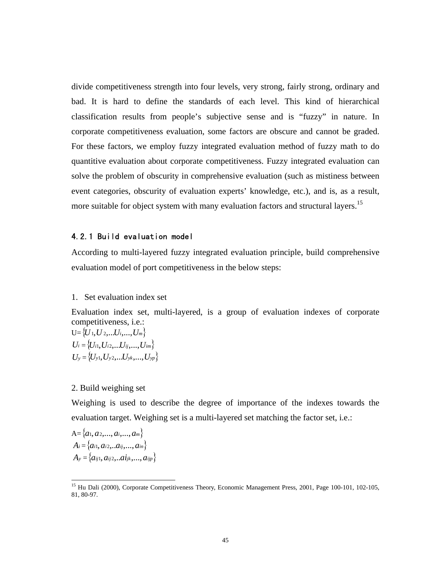divide competitiveness strength into four levels, very strong, fairly strong, ordinary and bad. It is hard to define the standards of each level. This kind of hierarchical classification results from people's subjective sense and is "fuzzy" in nature. In corporate competitiveness evaluation, some factors are obscure and cannot be graded. For these factors, we employ fuzzy integrated evaluation method of fuzzy math to do quantitive evaluation about corporate competitiveness. Fuzzy integrated evaluation can solve the problem of obscurity in comprehensive evaluation (such as mistiness between event categories, obscurity of evaluation experts' knowledge, etc.), and is, as a result, more suitable for object system with many evaluation factors and structural layers.<sup>15</sup>

#### 4.2.1 Build evaluation model

According to multi-layered fuzzy integrated evaluation principle, build comprehensive evaluation model of port competitiveness in the below steps:

#### 1. Set evaluation index set

Evaluation index set, multi-layered, is a group of evaluation indexes of corporate competitiveness, i.e.:

 $U = \{ U_1, U_2, \ldots, U_i, \ldots, U_m \}$  $U_i = \{U_{i1}, U_{i2}, \ldots, U_{ij}, \ldots, U_{im}\}$  $U_y = \{U_{y1}, U_{y2},...U_{yk},...,U_{yp}\}$ 

#### 2. Build weighing set

Weighing is used to describe the degree of importance of the indexes towards the evaluation target. Weighing set is a multi-layered set matching the factor set, i.e.:

 $A = \{a_1, a_2, ..., a_i, ..., a_m\}$  $A_i = \{a_{i1}, a_{i2}, \ldots a_{ij}, \ldots, a_{in}\}$  $A_y = \{ a_{ij1}, a_{ij2},...a_{jk},..., a_{ijp} \}$ 

<sup>&</sup>lt;sup>15</sup> Hu Dali (2000), Corporate Competitiveness Theory, Economic Management Press, 2001, Page 100-101, 102-105, 81, 80-97.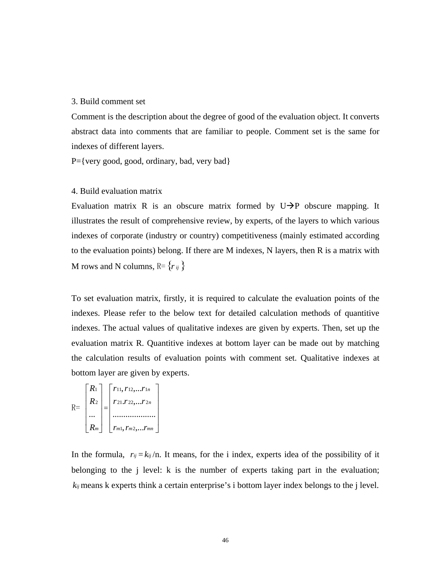#### 3. Build comment set

Comment is the description about the degree of good of the evaluation object. It converts abstract data into comments that are familiar to people. Comment set is the same for indexes of different layers.

P={very good, good, ordinary, bad, very bad}

#### 4. Build evaluation matrix

Evaluation matrix R is an obscure matrix formed by  $U \rightarrow P$  obscure mapping. It illustrates the result of comprehensive review, by experts, of the layers to which various indexes of corporate (industry or country) competitiveness (mainly estimated according to the evaluation points) belong. If there are M indexes, N layers, then R is a matrix with M rows and N columns,  $R = \{r_{ij}\}\$ 

To set evaluation matrix, firstly, it is required to calculate the evaluation points of the indexes. Please refer to the below text for detailed calculation methods of quantitive indexes. The actual values of qualitative indexes are given by experts. Then, set up the evaluation matrix R. Quantitive indexes at bottom layer can be made out by matching the calculation results of evaluation points with comment set. Qualitative indexes at bottom layer are given by experts.

$$
R = \begin{bmatrix} R_1 \\ R_2 \\ \cdots \\ R_m \end{bmatrix} = \begin{bmatrix} r_{11}, r_{12}, \ldots r_{1n} \\ r_{21}.r_{22}, \ldots r_{2n} \\ \cdots \\ r_{m1}, r_{m2}, \ldots r_{mn} \end{bmatrix}
$$

In the formula,  $r_{ij} = k_{ij}/n$ . It means, for the i index, experts idea of the possibility of it belonging to the *j* level: k is the number of experts taking part in the evaluation; means k experts think a certain enterprise's i bottom layer index belongs to the j level. *kij*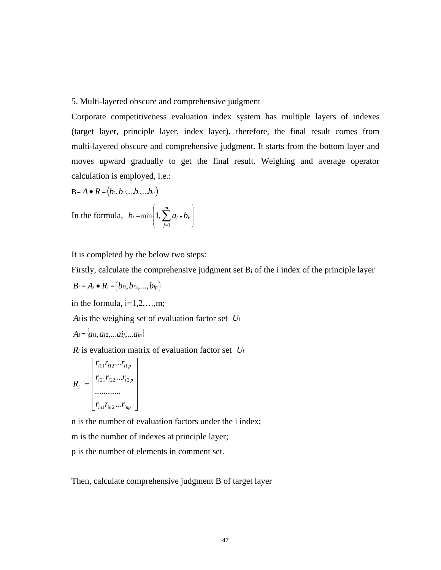#### 5. Multi-layered obscure and comprehensive judgment

Corporate competitiveness evaluation index system has multiple layers of indexes (target layer, principle layer, index layer), therefore, the final result comes from multi-layered obscure and comprehensive judgment. It starts from the bottom layer and moves upward gradually to get the final result. Weighing and average operator calculation is employed, i.e.:

$$
B=A\bullet R=\big(b_1,b_2,...b_i,...b_n\big)
$$

In the formula, 
$$
b_i = \min\left(1, \sum_{j=1}^m a_j \cdot b_{ji}\right)
$$

It is completed by the below two steps:

Firstly, calculate the comprehensive judgment set  $B_i$  of the i index of the principle layer

$$
B_i = A_i \bullet R_i = (b_{i1}, b_{i2},..., b_{ip})
$$

in the formula,  $i=1,2,...,m$ ;

*Ai* is the weighing set of evaluation factor set *Ui*

$$
A_i = \langle a_{i1}, a_{i2}, \ldots a_{i}, \ldots a_{in} \rangle
$$

 $\lambda$ 

*Ri* is evaluation matrix of evaluation factor set *Ui*

$$
R_{i} = \begin{bmatrix} r_{i11}r_{i12}...r_{i1p} \\ r_{i21}r_{i22}...r_{i2p} \\ \dots \\ r_{in1}r_{in2}...r_{inp} \end{bmatrix}
$$

n is the number of evaluation factors under the i index; m is the number of indexes at principle layer; p is the number of elements in comment set.

Then, calculate comprehensive judgment B of target layer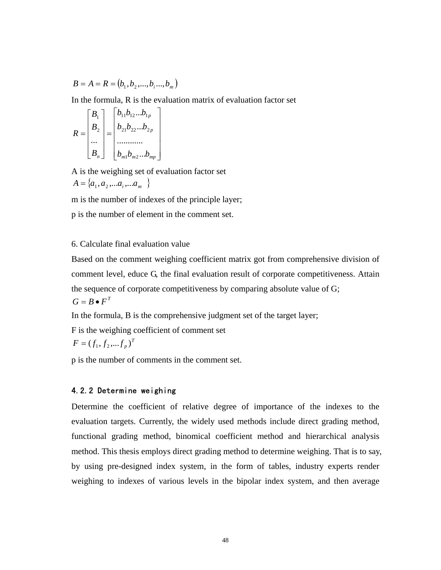$$
B = A = R = (b_1, b_2, ..., b_i, ..., b_m)
$$

In the formula, R is the evaluation matrix of evaluation factor set

$$
R = \begin{bmatrix} B_1 \\ B_2 \\ \dots \\ B_n \end{bmatrix} = \begin{bmatrix} b_{11}b_{12}...b_{1p} \\ b_{21}b_{22}...b_{2p} \\ \dots \\ b_{m1}b_{m2}...b_{mp} \end{bmatrix}
$$

A is the weighing set of evaluation factor set  $A = \{a_1, a_2, \ldots a_i, \ldots a_m\}$ 

m is the number of indexes of the principle layer;

p is the number of element in the comment set.

#### 6. Calculate final evaluation value

Based on the comment weighing coefficient matrix got from comprehensive division of comment level, educe G, the final evaluation result of corporate competitiveness. Attain the sequence of corporate competitiveness by comparing absolute value of G;  $G = B \bullet F^T$ 

In the formula, B is the comprehensive judgment set of the target layer;

F is the weighing coefficient of comment set

$$
F = (f_1, f_2, \dots, f_p)^T
$$

p is the number of comments in the comment set.

#### 4.2.2 Determine weighing

Determine the coefficient of relative degree of importance of the indexes to the evaluation targets. Currently, the widely used methods include direct grading method, functional grading method, binomical coefficient method and hierarchical analysis method. This thesis employs direct grading method to determine weighing. That is to say, by using pre-designed index system, in the form of tables, industry experts render weighing to indexes of various levels in the bipolar index system, and then average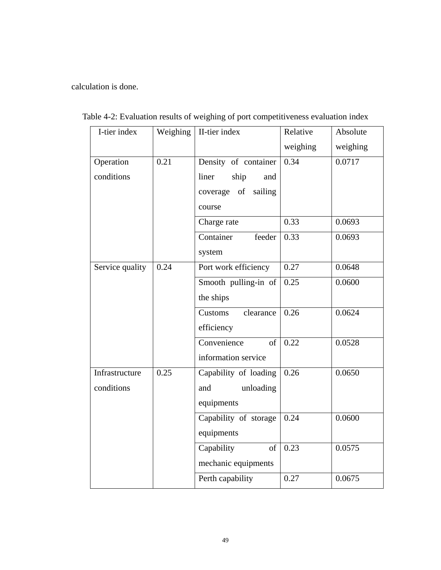calculation is done.

| I-tier index    | Weighing | II-tier index          | Relative | Absolute |
|-----------------|----------|------------------------|----------|----------|
|                 |          |                        | weighing | weighing |
| Operation       | 0.21     | Density of container   | 0.34     | 0.0717   |
| conditions      |          | liner<br>ship<br>and   |          |          |
|                 |          | coverage of<br>sailing |          |          |
|                 |          | course                 |          |          |
|                 |          | Charge rate            | 0.33     | 0.0693   |
|                 |          | Container<br>feeder    | 0.33     | 0.0693   |
|                 |          | system                 |          |          |
| Service quality | 0.24     | Port work efficiency   | 0.27     | 0.0648   |
|                 |          | Smooth pulling-in of   | 0.25     | 0.0600   |
|                 |          | the ships              |          |          |
|                 |          | Customs<br>clearance   | 0.26     | 0.0624   |
|                 |          | efficiency             |          |          |
|                 |          | Convenience<br>of      | 0.22     | 0.0528   |
|                 |          | information service    |          |          |
| Infrastructure  | 0.25     | Capability of loading  | 0.26     | 0.0650   |
| conditions      |          | unloading<br>and       |          |          |
|                 |          | equipments             |          |          |
|                 |          | Capability of storage  | 0.24     | 0.0600   |
|                 |          | equipments             |          |          |
|                 |          | Capability<br>of       | 0.23     | 0.0575   |
|                 |          | mechanic equipments    |          |          |
|                 |          | Perth capability       | 0.27     | 0.0675   |

Table 4-2: Evaluation results of weighing of port competitiveness evaluation index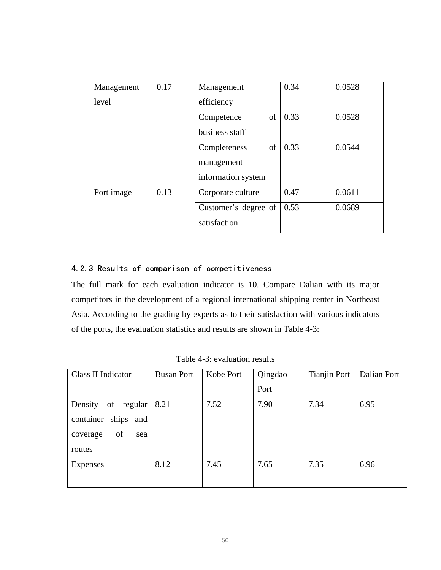| Management | 0.17 | Management           | 0.34 | 0.0528 |
|------------|------|----------------------|------|--------|
| level      |      | efficiency           |      |        |
|            |      | of<br>Competence     | 0.33 | 0.0528 |
|            |      | business staff       |      |        |
|            |      | of<br>Completeness   | 0.33 | 0.0544 |
|            |      | management           |      |        |
|            |      | information system   |      |        |
| Port image | 0.13 | Corporate culture    | 0.47 | 0.0611 |
|            |      | Customer's degree of | 0.53 | 0.0689 |
|            |      | satisfaction         |      |        |

#### 4.2.3 Results of comparison of competitiveness

The full mark for each evaluation indicator is 10. Compare Dalian with its major competitors in the development of a regional international shipping center in Northeast Asia. According to the grading by experts as to their satisfaction with various indicators of the ports, the evaluation statistics and results are shown in Table 4-3:

| Class II Indicator        | <b>Busan Port</b> | Kobe Port | Qingdao | <b>Tianjin Port</b> | Dalian Port |
|---------------------------|-------------------|-----------|---------|---------------------|-------------|
|                           |                   |           | Port    |                     |             |
| Density<br>of regular     | 8.21              | 7.52      | 7.90    | 7.34                | 6.95        |
| ships<br>container<br>and |                   |           |         |                     |             |
| of<br>coverage<br>sea     |                   |           |         |                     |             |
| routes                    |                   |           |         |                     |             |
| Expenses                  | 8.12              | 7.45      | 7.65    | 7.35                | 6.96        |
|                           |                   |           |         |                     |             |

Table 4-3: evaluation results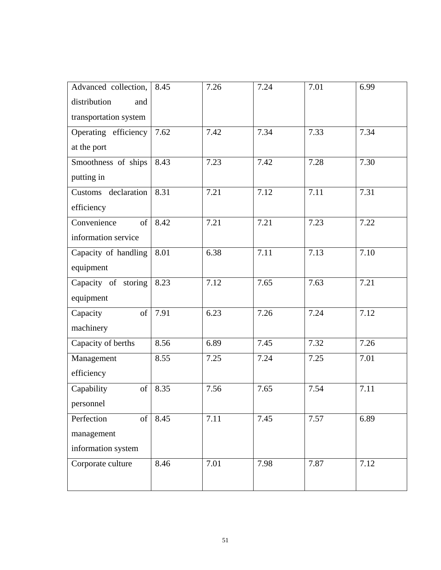| Advanced collection,  | 8.45 | 7.26 | 7.24 | 7.01 | 6.99 |
|-----------------------|------|------|------|------|------|
| distribution<br>and   |      |      |      |      |      |
| transportation system |      |      |      |      |      |
| Operating efficiency  | 7.62 | 7.42 | 7.34 | 7.33 | 7.34 |
| at the port           |      |      |      |      |      |
| Smoothness of ships   | 8.43 | 7.23 | 7.42 | 7.28 | 7.30 |
| putting in            |      |      |      |      |      |
| Customs declaration   | 8.31 | 7.21 | 7.12 | 7.11 | 7.31 |
| efficiency            |      |      |      |      |      |
| Convenience<br>of     | 8.42 | 7.21 | 7.21 | 7.23 | 7.22 |
| information service   |      |      |      |      |      |
| Capacity of handling  | 8.01 | 6.38 | 7.11 | 7.13 | 7.10 |
| equipment             |      |      |      |      |      |
| Capacity of storing   | 8.23 | 7.12 | 7.65 | 7.63 | 7.21 |
| equipment             |      |      |      |      |      |
| of<br>Capacity        | 7.91 | 6.23 | 7.26 | 7.24 | 7.12 |
| machinery             |      |      |      |      |      |
| Capacity of berths    | 8.56 | 6.89 | 7.45 | 7.32 | 7.26 |
| Management            | 8.55 | 7.25 | 7.24 | 7.25 | 7.01 |
| efficiency            |      |      |      |      |      |
| Capability<br>of      | 8.35 | 7.56 | 7.65 | 7.54 | 7.11 |
| personnel             |      |      |      |      |      |
| Perfection<br>of      | 8.45 | 7.11 | 7.45 | 7.57 | 6.89 |
| management            |      |      |      |      |      |
| information system    |      |      |      |      |      |
| Corporate culture     | 8.46 | 7.01 | 7.98 | 7.87 | 7.12 |
|                       |      |      |      |      |      |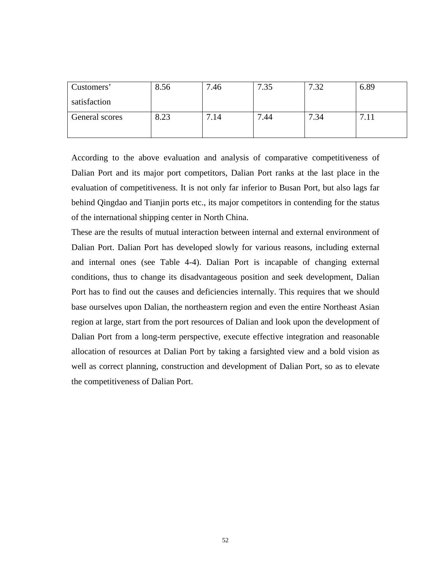| Customers'     | 8.56 | .46 | 7.35     | –<br>- 20 | 6.89   |
|----------------|------|-----|----------|-----------|--------|
| satisfaction   |      |     |          |           |        |
| General scores | 8.23 | .14 | ⇁<br>.44 | 7.34      | −<br>. |

According to the above evaluation and analysis of comparative competitiveness of Dalian Port and its major port competitors, Dalian Port ranks at the last place in the evaluation of competitiveness. It is not only far inferior to Busan Port, but also lags far behind Qingdao and Tianjin ports etc., its major competitors in contending for the status of the international shipping center in North China.

These are the results of mutual interaction between internal and external environment of Dalian Port. Dalian Port has developed slowly for various reasons, including external and internal ones (see Table 4-4). Dalian Port is incapable of changing external conditions, thus to change its disadvantageous position and seek development, Dalian Port has to find out the causes and deficiencies internally. This requires that we should base ourselves upon Dalian, the northeastern region and even the entire Northeast Asian region at large, start from the port resources of Dalian and look upon the development of Dalian Port from a long-term perspective, execute effective integration and reasonable allocation of resources at Dalian Port by taking a farsighted view and a bold vision as well as correct planning, construction and development of Dalian Port, so as to elevate the competitiveness of Dalian Port.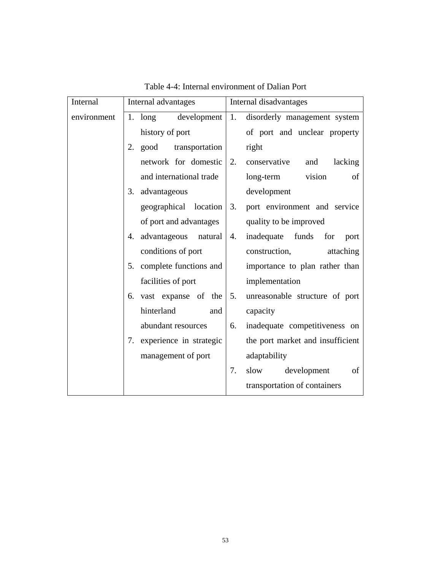| Internal    | Internal advantages           | Internal disadvantages                |  |  |
|-------------|-------------------------------|---------------------------------------|--|--|
| environment | development<br>1. $long$      | 1.<br>disorderly management system    |  |  |
|             | history of port               | of port and unclear property          |  |  |
|             | 2.<br>good<br>transportation  | right                                 |  |  |
|             | network for domestic          | 2.<br>conservative<br>lacking<br>and  |  |  |
|             | and international trade       | vision<br>long-term<br>of             |  |  |
|             | 3.<br>advantageous            | development                           |  |  |
|             | geographical location         | 3.<br>port environment and service    |  |  |
|             | of port and advantages        | quality to be improved                |  |  |
|             | advantageous natural<br>4.    | inadequate funds<br>4.<br>for<br>port |  |  |
|             | conditions of port            | construction,<br>attaching            |  |  |
|             | complete functions and<br>5.  | importance to plan rather than        |  |  |
|             | facilities of port            | implementation                        |  |  |
|             | vast expanse of the<br>6.     | 5.<br>unreasonable structure of port  |  |  |
|             | hinterland<br>and             | capacity                              |  |  |
|             | abundant resources            | inadequate competitiveness on<br>6.   |  |  |
|             | experience in strategic<br>7. | the port market and insufficient      |  |  |
|             | management of port            | adaptability                          |  |  |
|             |                               | 7.<br>development<br>of<br>slow       |  |  |
|             |                               | transportation of containers          |  |  |

Table 4-4: Internal environment of Dalian Port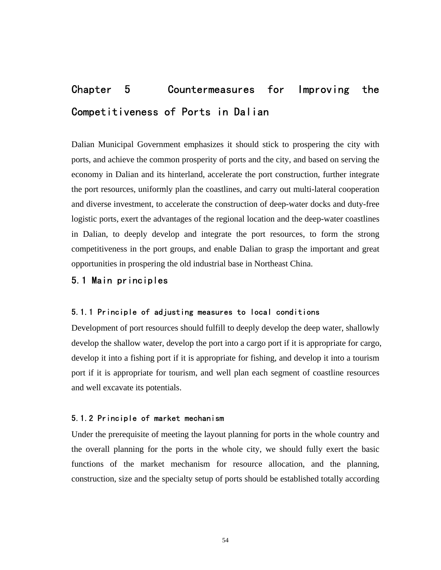# Chapter 5 Countermeasures for Improving the Competitiveness of Ports in Dalian

Dalian Municipal Government emphasizes it should stick to prospering the city with ports, and achieve the common prosperity of ports and the city, and based on serving the economy in Dalian and its hinterland, accelerate the port construction, further integrate the port resources, uniformly plan the coastlines, and carry out multi-lateral cooperation and diverse investment, to accelerate the construction of deep-water docks and duty-free logistic ports, exert the advantages of the regional location and the deep-water coastlines in Dalian, to deeply develop and integrate the port resources, to form the strong competitiveness in the port groups, and enable Dalian to grasp the important and great opportunities in prospering the old industrial base in Northeast China.

#### 5.1 Main principles

#### 5.1.1 Principle of adjusting measures to local conditions

Development of port resources should fulfill to deeply develop the deep water, shallowly develop the shallow water, develop the port into a cargo port if it is appropriate for cargo, develop it into a fishing port if it is appropriate for fishing, and develop it into a tourism port if it is appropriate for tourism, and well plan each segment of coastline resources and well excavate its potentials.

#### 5.1.2 Principle of market mechanism

Under the prerequisite of meeting the layout planning for ports in the whole country and the overall planning for the ports in the whole city, we should fully exert the basic functions of the market mechanism for resource allocation, and the planning, construction, size and the specialty setup of ports should be established totally according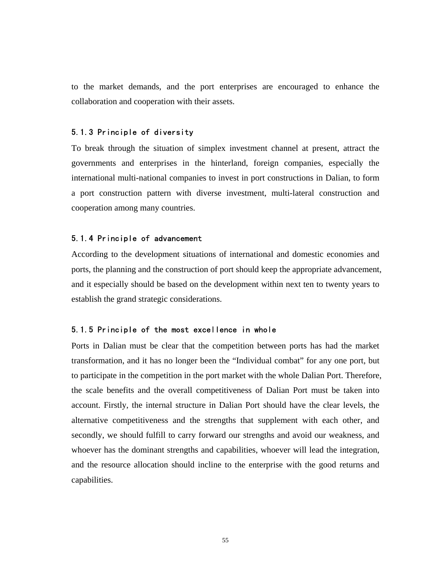to the market demands, and the port enterprises are encouraged to enhance the collaboration and cooperation with their assets.

#### 5.1.3 Principle of diversity

To break through the situation of simplex investment channel at present, attract the governments and enterprises in the hinterland, foreign companies, especially the international multi-national companies to invest in port constructions in Dalian, to form a port construction pattern with diverse investment, multi-lateral construction and cooperation among many countries.

#### 5.1.4 Principle of advancement

According to the development situations of international and domestic economies and ports, the planning and the construction of port should keep the appropriate advancement, and it especially should be based on the development within next ten to twenty years to establish the grand strategic considerations.

#### 5.1.5 Principle of the most excellence in whole

Ports in Dalian must be clear that the competition between ports has had the market transformation, and it has no longer been the "Individual combat" for any one port, but to participate in the competition in the port market with the whole Dalian Port. Therefore, the scale benefits and the overall competitiveness of Dalian Port must be taken into account. Firstly, the internal structure in Dalian Port should have the clear levels, the alternative competitiveness and the strengths that supplement with each other, and secondly, we should fulfill to carry forward our strengths and avoid our weakness, and whoever has the dominant strengths and capabilities, whoever will lead the integration, and the resource allocation should incline to the enterprise with the good returns and capabilities.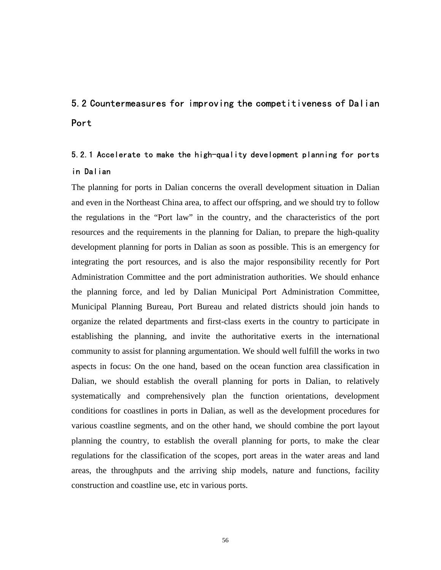# 5.2 Countermeasures for improving the competitiveness of Dalian Port

# 5.2.1 Accelerate to make the high-quality development planning for ports in Dalian

The planning for ports in Dalian concerns the overall development situation in Dalian and even in the Northeast China area, to affect our offspring, and we should try to follow the regulations in the "Port law" in the country, and the characteristics of the port resources and the requirements in the planning for Dalian, to prepare the high-quality development planning for ports in Dalian as soon as possible. This is an emergency for integrating the port resources, and is also the major responsibility recently for Port Administration Committee and the port administration authorities. We should enhance the planning force, and led by Dalian Municipal Port Administration Committee, Municipal Planning Bureau, Port Bureau and related districts should join hands to organize the related departments and first-class exerts in the country to participate in establishing the planning, and invite the authoritative exerts in the international community to assist for planning argumentation. We should well fulfill the works in two aspects in focus: On the one hand, based on the ocean function area classification in Dalian, we should establish the overall planning for ports in Dalian, to relatively systematically and comprehensively plan the function orientations, development conditions for coastlines in ports in Dalian, as well as the development procedures for various coastline segments, and on the other hand, we should combine the port layout planning the country, to establish the overall planning for ports, to make the clear regulations for the classification of the scopes, port areas in the water areas and land areas, the throughputs and the arriving ship models, nature and functions, facility construction and coastline use, etc in various ports.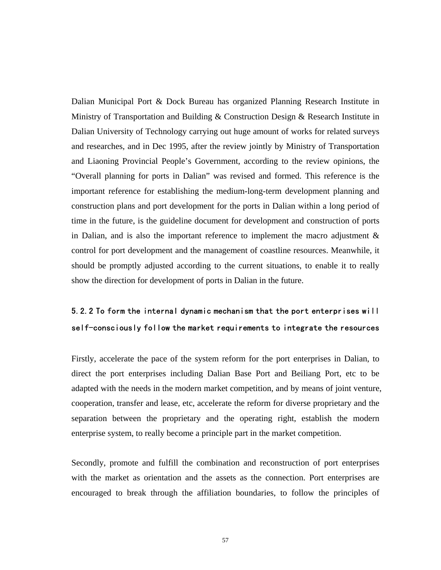Dalian Municipal Port & Dock Bureau has organized Planning Research Institute in Ministry of Transportation and Building & Construction Design & Research Institute in Dalian University of Technology carrying out huge amount of works for related surveys and researches, and in Dec 1995, after the review jointly by Ministry of Transportation and Liaoning Provincial People's Government, according to the review opinions, the "Overall planning for ports in Dalian" was revised and formed. This reference is the important reference for establishing the medium-long-term development planning and construction plans and port development for the ports in Dalian within a long period of time in the future, is the guideline document for development and construction of ports in Dalian, and is also the important reference to implement the macro adjustment & control for port development and the management of coastline resources. Meanwhile, it should be promptly adjusted according to the current situations, to enable it to really show the direction for development of ports in Dalian in the future.

### 5.2.2 To form the internal dynamic mechanism that the port enterprises will self-consciously follow the market requirements to integrate the resources

Firstly, accelerate the pace of the system reform for the port enterprises in Dalian, to direct the port enterprises including Dalian Base Port and Beiliang Port, etc to be adapted with the needs in the modern market competition, and by means of joint venture, cooperation, transfer and lease, etc, accelerate the reform for diverse proprietary and the separation between the proprietary and the operating right, establish the modern enterprise system, to really become a principle part in the market competition.

Secondly, promote and fulfill the combination and reconstruction of port enterprises with the market as orientation and the assets as the connection. Port enterprises are encouraged to break through the affiliation boundaries, to follow the principles of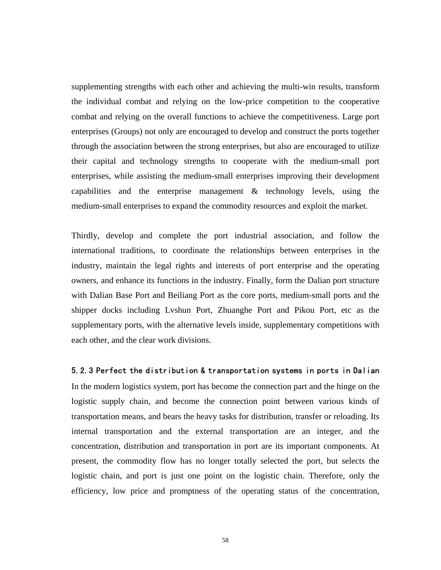supplementing strengths with each other and achieving the multi-win results, transform the individual combat and relying on the low-price competition to the cooperative combat and relying on the overall functions to achieve the competitiveness. Large port enterprises (Groups) not only are encouraged to develop and construct the ports together through the association between the strong enterprises, but also are encouraged to utilize their capital and technology strengths to cooperate with the medium-small port enterprises, while assisting the medium-small enterprises improving their development capabilities and the enterprise management & technology levels, using the medium-small enterprises to expand the commodity resources and exploit the market.

Thirdly, develop and complete the port industrial association, and follow the international traditions, to coordinate the relationships between enterprises in the industry, maintain the legal rights and interests of port enterprise and the operating owners, and enhance its functions in the industry. Finally, form the Dalian port structure with Dalian Base Port and Beiliang Port as the core ports, medium-small ports and the shipper docks including Lvshun Port, Zhuanghe Port and Pikou Port, etc as the supplementary ports, with the alternative levels inside, supplementary competitions with each other, and the clear work divisions.

#### 5.2.3 Perfect the distribution & transportation systems in ports in Dalian

In the modern logistics system, port has become the connection part and the hinge on the logistic supply chain, and become the connection point between various kinds of transportation means, and bears the heavy tasks for distribution, transfer or reloading. Its internal transportation and the external transportation are an integer, and the concentration, distribution and transportation in port are its important components. At present, the commodity flow has no longer totally selected the port, but selects the logistic chain, and port is just one point on the logistic chain. Therefore, only the efficiency, low price and promptness of the operating status of the concentration,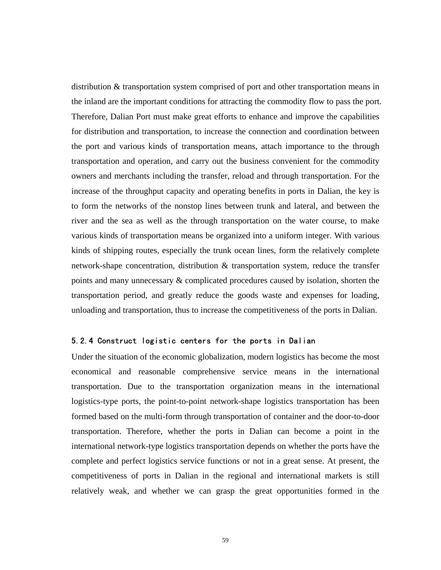distribution & transportation system comprised of port and other transportation means in the inland are the important conditions for attracting the commodity flow to pass the port. Therefore, Dalian Port must make great efforts to enhance and improve the capabilities for distribution and transportation, to increase the connection and coordination between the port and various kinds of transportation means, attach importance to the through transportation and operation, and carry out the business convenient for the commodity owners and merchants including the transfer, reload and through transportation. For the increase of the throughput capacity and operating benefits in ports in Dalian, the key is to form the networks of the nonstop lines between trunk and lateral, and between the river and the sea as well as the through transportation on the water course, to make various kinds of transportation means be organized into a uniform integer. With various kinds of shipping routes, especially the trunk ocean lines, form the relatively complete network-shape concentration, distribution & transportation system, reduce the transfer points and many unnecessary & complicated procedures caused by isolation, shorten the transportation period, and greatly reduce the goods waste and expenses for loading, unloading and transportation, thus to increase the competitiveness of the ports in Dalian.

#### 5.2.4 Construct logistic centers for the ports in Dalian

Under the situation of the economic globalization, modern logistics has become the most economical and reasonable comprehensive service means in the international transportation. Due to the transportation organization means in the international logistics-type ports, the point-to-point network-shape logistics transportation has been formed based on the multi-form through transportation of container and the door-to-door transportation. Therefore, whether the ports in Dalian can become a point in the international network-type logistics transportation depends on whether the ports have the complete and perfect logistics service functions or not in a great sense. At present, the competitiveness of ports in Dalian in the regional and international markets is still relatively weak, and whether we can grasp the great opportunities formed in the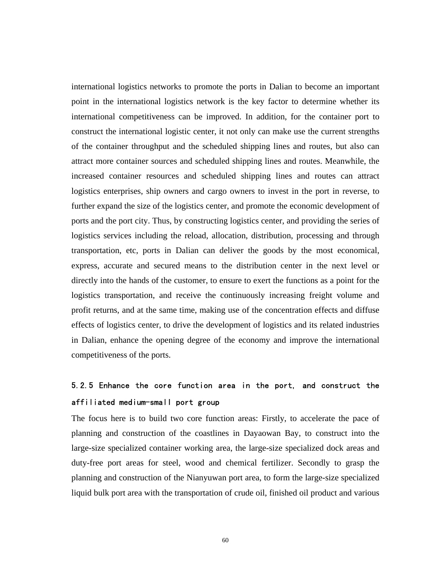international logistics networks to promote the ports in Dalian to become an important point in the international logistics network is the key factor to determine whether its international competitiveness can be improved. In addition, for the container port to construct the international logistic center, it not only can make use the current strengths of the container throughput and the scheduled shipping lines and routes, but also can attract more container sources and scheduled shipping lines and routes. Meanwhile, the increased container resources and scheduled shipping lines and routes can attract logistics enterprises, ship owners and cargo owners to invest in the port in reverse, to further expand the size of the logistics center, and promote the economic development of ports and the port city. Thus, by constructing logistics center, and providing the series of logistics services including the reload, allocation, distribution, processing and through transportation, etc, ports in Dalian can deliver the goods by the most economical, express, accurate and secured means to the distribution center in the next level or directly into the hands of the customer, to ensure to exert the functions as a point for the logistics transportation, and receive the continuously increasing freight volume and profit returns, and at the same time, making use of the concentration effects and diffuse effects of logistics center, to drive the development of logistics and its related industries in Dalian, enhance the opening degree of the economy and improve the international competitiveness of the ports.

## 5.2.5 Enhance the core function area in the port, and construct the affiliated medium-small port group

The focus here is to build two core function areas: Firstly, to accelerate the pace of planning and construction of the coastlines in Dayaowan Bay, to construct into the large-size specialized container working area, the large-size specialized dock areas and duty-free port areas for steel, wood and chemical fertilizer. Secondly to grasp the planning and construction of the Nianyuwan port area, to form the large-size specialized liquid bulk port area with the transportation of crude oil, finished oil product and various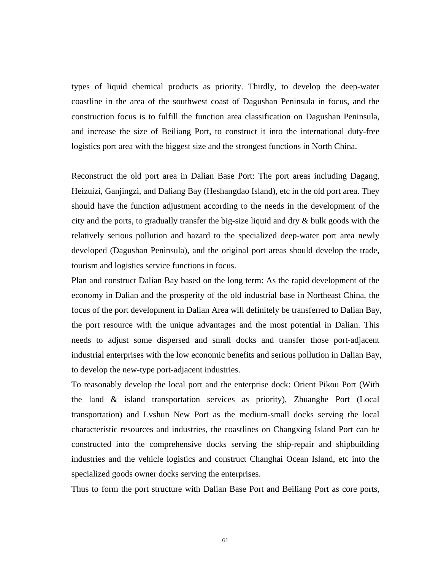types of liquid chemical products as priority. Thirdly, to develop the deep-water coastline in the area of the southwest coast of Dagushan Peninsula in focus, and the construction focus is to fulfill the function area classification on Dagushan Peninsula, and increase the size of Beiliang Port, to construct it into the international duty-free logistics port area with the biggest size and the strongest functions in North China.

Reconstruct the old port area in Dalian Base Port: The port areas including Dagang, Heizuizi, Ganjingzi, and Daliang Bay (Heshangdao Island), etc in the old port area. They should have the function adjustment according to the needs in the development of the city and the ports, to gradually transfer the big-size liquid and dry  $\&$  bulk goods with the relatively serious pollution and hazard to the specialized deep-water port area newly developed (Dagushan Peninsula), and the original port areas should develop the trade, tourism and logistics service functions in focus.

Plan and construct Dalian Bay based on the long term: As the rapid development of the economy in Dalian and the prosperity of the old industrial base in Northeast China, the focus of the port development in Dalian Area will definitely be transferred to Dalian Bay, the port resource with the unique advantages and the most potential in Dalian. This needs to adjust some dispersed and small docks and transfer those port-adjacent industrial enterprises with the low economic benefits and serious pollution in Dalian Bay, to develop the new-type port-adjacent industries.

To reasonably develop the local port and the enterprise dock: Orient Pikou Port (With the land & island transportation services as priority), Zhuanghe Port (Local transportation) and Lvshun New Port as the medium-small docks serving the local characteristic resources and industries, the coastlines on Changxing Island Port can be constructed into the comprehensive docks serving the ship-repair and shipbuilding industries and the vehicle logistics and construct Changhai Ocean Island, etc into the specialized goods owner docks serving the enterprises.

Thus to form the port structure with Dalian Base Port and Beiliang Port as core ports,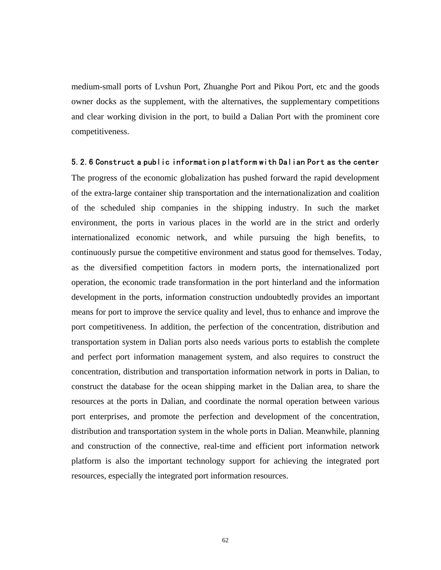medium-small ports of Lvshun Port, Zhuanghe Port and Pikou Port, etc and the goods owner docks as the supplement, with the alternatives, the supplementary competitions and clear working division in the port, to build a Dalian Port with the prominent core competitiveness.

#### 5.2.6 Construct a public information platform with Dalian Port as the center

The progress of the economic globalization has pushed forward the rapid development of the extra-large container ship transportation and the internationalization and coalition of the scheduled ship companies in the shipping industry. In such the market environment, the ports in various places in the world are in the strict and orderly internationalized economic network, and while pursuing the high benefits, to continuously pursue the competitive environment and status good for themselves. Today, as the diversified competition factors in modern ports, the internationalized port operation, the economic trade transformation in the port hinterland and the information development in the ports, information construction undoubtedly provides an important means for port to improve the service quality and level, thus to enhance and improve the port competitiveness. In addition, the perfection of the concentration, distribution and transportation system in Dalian ports also needs various ports to establish the complete and perfect port information management system, and also requires to construct the concentration, distribution and transportation information network in ports in Dalian, to construct the database for the ocean shipping market in the Dalian area, to share the resources at the ports in Dalian, and coordinate the normal operation between various port enterprises, and promote the perfection and development of the concentration, distribution and transportation system in the whole ports in Dalian. Meanwhile, planning and construction of the connective, real-time and efficient port information network platform is also the important technology support for achieving the integrated port resources, especially the integrated port information resources.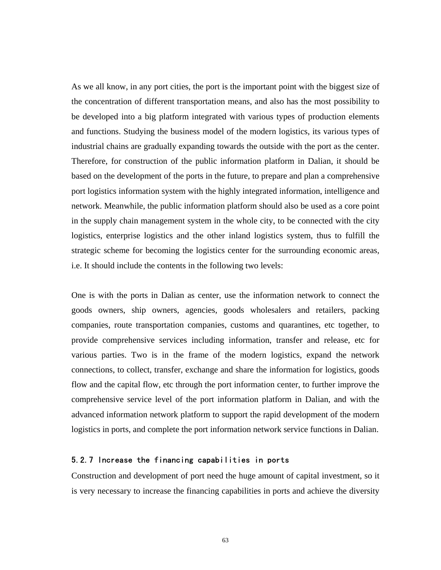As we all know, in any port cities, the port is the important point with the biggest size of the concentration of different transportation means, and also has the most possibility to be developed into a big platform integrated with various types of production elements and functions. Studying the business model of the modern logistics, its various types of industrial chains are gradually expanding towards the outside with the port as the center. Therefore, for construction of the public information platform in Dalian, it should be based on the development of the ports in the future, to prepare and plan a comprehensive port logistics information system with the highly integrated information, intelligence and network. Meanwhile, the public information platform should also be used as a core point in the supply chain management system in the whole city, to be connected with the city logistics, enterprise logistics and the other inland logistics system, thus to fulfill the strategic scheme for becoming the logistics center for the surrounding economic areas, i.e. It should include the contents in the following two levels:

One is with the ports in Dalian as center, use the information network to connect the goods owners, ship owners, agencies, goods wholesalers and retailers, packing companies, route transportation companies, customs and quarantines, etc together, to provide comprehensive services including information, transfer and release, etc for various parties. Two is in the frame of the modern logistics, expand the network connections, to collect, transfer, exchange and share the information for logistics, goods flow and the capital flow, etc through the port information center, to further improve the comprehensive service level of the port information platform in Dalian, and with the advanced information network platform to support the rapid development of the modern logistics in ports, and complete the port information network service functions in Dalian.

#### 5.2.7 Increase the financing capabilities in ports

Construction and development of port need the huge amount of capital investment, so it is very necessary to increase the financing capabilities in ports and achieve the diversity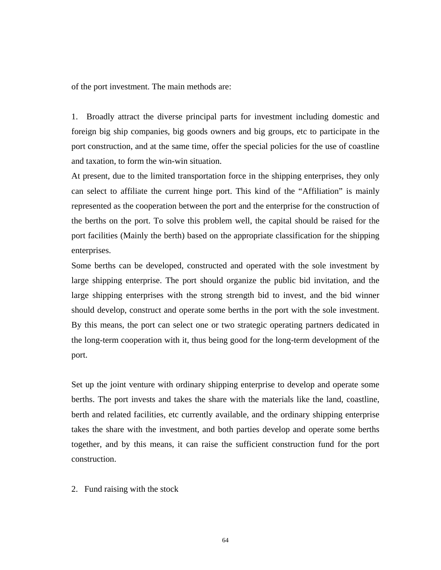of the port investment. The main methods are:

1. Broadly attract the diverse principal parts for investment including domestic and foreign big ship companies, big goods owners and big groups, etc to participate in the port construction, and at the same time, offer the special policies for the use of coastline and taxation, to form the win-win situation.

At present, due to the limited transportation force in the shipping enterprises, they only can select to affiliate the current hinge port. This kind of the "Affiliation" is mainly represented as the cooperation between the port and the enterprise for the construction of the berths on the port. To solve this problem well, the capital should be raised for the port facilities (Mainly the berth) based on the appropriate classification for the shipping enterprises.

Some berths can be developed, constructed and operated with the sole investment by large shipping enterprise. The port should organize the public bid invitation, and the large shipping enterprises with the strong strength bid to invest, and the bid winner should develop, construct and operate some berths in the port with the sole investment. By this means, the port can select one or two strategic operating partners dedicated in the long-term cooperation with it, thus being good for the long-term development of the port.

Set up the joint venture with ordinary shipping enterprise to develop and operate some berths. The port invests and takes the share with the materials like the land, coastline, berth and related facilities, etc currently available, and the ordinary shipping enterprise takes the share with the investment, and both parties develop and operate some berths together, and by this means, it can raise the sufficient construction fund for the port construction.

2. Fund raising with the stock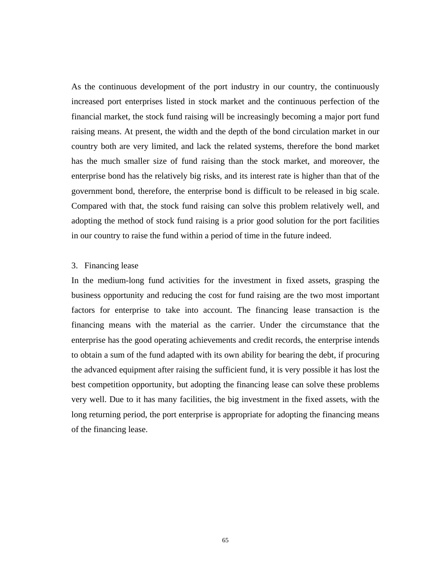As the continuous development of the port industry in our country, the continuously increased port enterprises listed in stock market and the continuous perfection of the financial market, the stock fund raising will be increasingly becoming a major port fund raising means. At present, the width and the depth of the bond circulation market in our country both are very limited, and lack the related systems, therefore the bond market has the much smaller size of fund raising than the stock market, and moreover, the enterprise bond has the relatively big risks, and its interest rate is higher than that of the government bond, therefore, the enterprise bond is difficult to be released in big scale. Compared with that, the stock fund raising can solve this problem relatively well, and adopting the method of stock fund raising is a prior good solution for the port facilities in our country to raise the fund within a period of time in the future indeed.

## 3. Financing lease

In the medium-long fund activities for the investment in fixed assets, grasping the business opportunity and reducing the cost for fund raising are the two most important factors for enterprise to take into account. The financing lease transaction is the financing means with the material as the carrier. Under the circumstance that the enterprise has the good operating achievements and credit records, the enterprise intends to obtain a sum of the fund adapted with its own ability for bearing the debt, if procuring the advanced equipment after raising the sufficient fund, it is very possible it has lost the best competition opportunity, but adopting the financing lease can solve these problems very well. Due to it has many facilities, the big investment in the fixed assets, with the long returning period, the port enterprise is appropriate for adopting the financing means of the financing lease.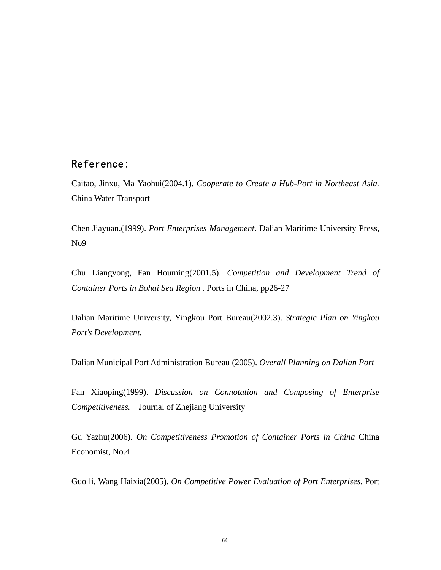## Reference:

Caitao, Jinxu, Ma Yaohui(2004.1). *Cooperate to Create a Hub-Port in Northeast Asia.* China Water Transport

Chen Jiayuan.(1999). *Port Enterprises Management*. Dalian Maritime University Press, No9

Chu Liangyong, Fan Houming(2001.5). *Competition and Development Trend of Container Ports in Bohai Sea Region .* Ports in China, pp26-27

Dalian Maritime University, Yingkou Port Bureau(2002.3). *Strategic Plan on Yingkou Port's Development.* 

Dalian Municipal Port Administration Bureau (2005). *Overall Planning on Dalian Port* 

Fan Xiaoping(1999). *Discussion on Connotation and Composing of Enterprise Competitiveness.* Journal of Zhejiang University

Gu Yazhu(2006). *On Competitiveness Promotion of Container Ports in China* China Economist, No.4

Guo li, Wang Haixia(2005). *On Competitive Power Evaluation of Port Enterprises*. Port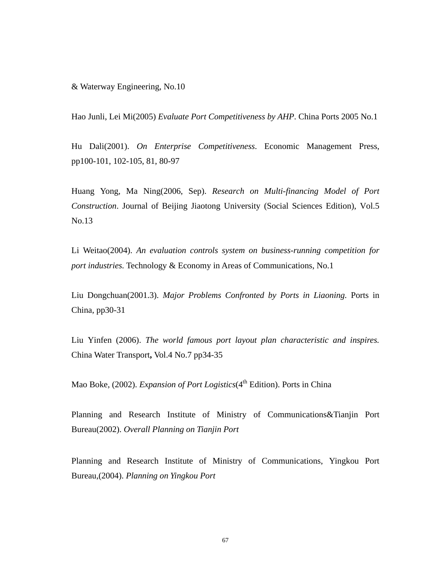& Waterway Engineering, No.10

Hao Junli, Lei Mi(2005) *Evaluate Port Competitiveness by AHP*. China Ports 2005 No.1

Hu Dali(2001). *On Enterprise Competitiveness*. Economic Management Press, pp100-101, 102-105, 81, 80-97

Huang Yong, Ma Ning(2006, Sep). *Research on Multi-financing Model of Port Construction*. Journal of Beijing Jiaotong University (Social Sciences Edition), Vol.5 No.13

Li Weitao(2004). *An evaluation controls system on business-running competition for port industries.* Technology & Economy in Areas of Communications, No.1

Liu Dongchuan(2001.3). *Major Problems Confronted by Ports in Liaoning.* Ports in China, pp30-31

Liu Yinfen (2006). *The world famous port layout plan characteristic and inspires.*  China Water Transport**,** Vol.4 No.7 pp34-35

Mao Boke, (2002). *Expansion of Port Logistics*(4<sup>th</sup> Edition). Ports in China

Planning and Research Institute of Ministry of Communications&Tianjin Port Bureau(2002). *Overall Planning on Tianjin Port* 

Planning and Research Institute of Ministry of Communications, Yingkou Port Bureau,(2004). *Planning on Yingkou Port*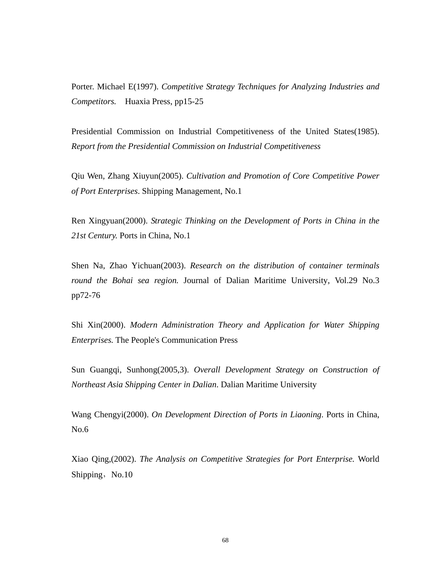Porter. Michael E(1997). *Competitive Strategy Techniques for Analyzing Industries and Competitors.* Huaxia Press, pp15-25

Presidential Commission on Industrial Competitiveness of the United States(1985). *Report from the Presidential Commission on Industrial Competitiveness* 

Qiu Wen, Zhang Xiuyun(2005). *Cultivation and Promotion of Core Competitive Power of Port Enterprises*. Shipping Management, No.1

Ren Xingyuan(2000). *Strategic Thinking on the Development of Ports in China in the 21st Century.* Ports in China, No.1

Shen Na, Zhao Yichuan(2003). *Research on the distribution of container terminals round the Bohai sea region.* Journal of Dalian Maritime University, Vol.29 No.3 pp72-76

Shi Xin(2000). *Modern Administration Theory and Application for Water Shipping Enterprises.* The People's Communication Press

Sun Guangqi, Sunhong(2005,3). *Overall Development Strategy on Construction of Northeast Asia Shipping Center in Dalian*. Dalian Maritime University

Wang Chengyi(2000). *On Development Direction of Ports in Liaoning*. Ports in China, No.6

Xiao Qing,(2002). *The Analysis on Competitive Strategies for Port Enterprise.* World Shipping, No.10